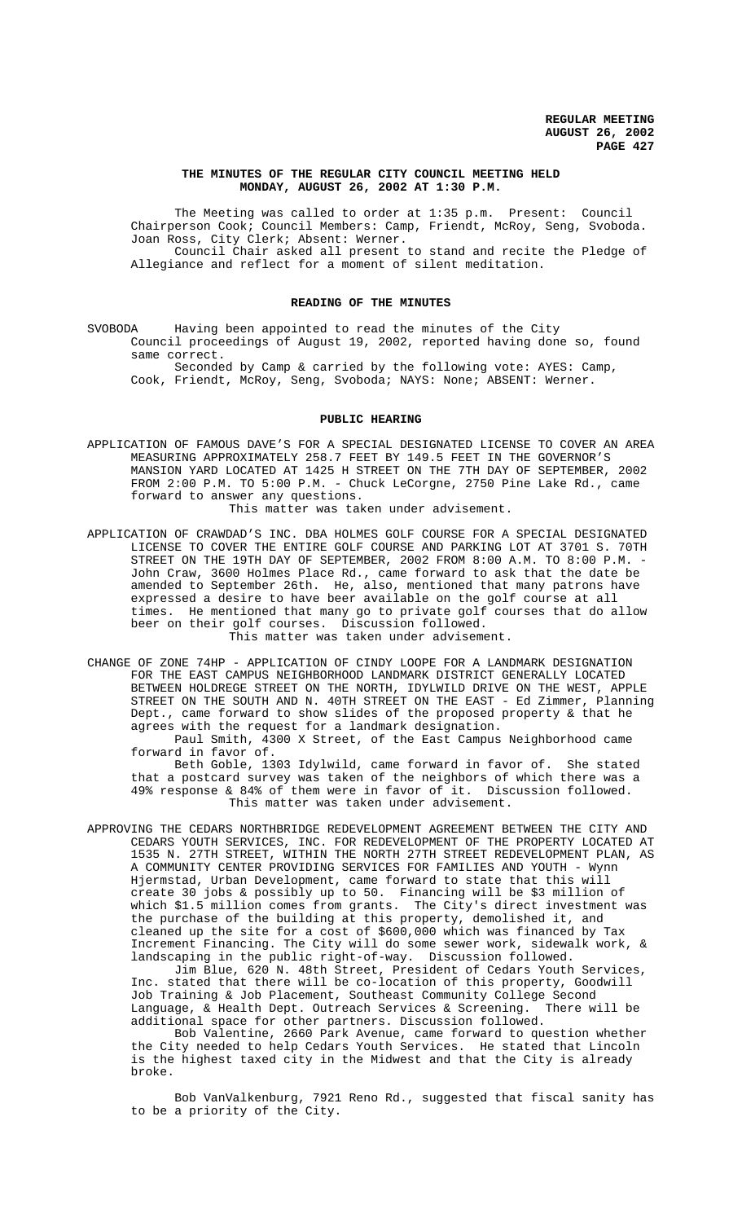## **THE MINUTES OF THE REGULAR CITY COUNCIL MEETING HELD MONDAY, AUGUST 26, 2002 AT 1:30 P.M.**

The Meeting was called to order at 1:35 p.m. Present: Council Chairperson Cook; Council Members: Camp, Friendt, McRoy, Seng, Svoboda. Joan Ross, City Clerk; Absent: Werner. Council Chair asked all present to stand and recite the Pledge of Allegiance and reflect for a moment of silent meditation.

### **READING OF THE MINUTES**

SVOBODA Having been appointed to read the minutes of the City Council proceedings of August 19, 2002, reported having done so, found same correct.

Seconded by Camp & carried by the following vote: AYES: Camp, Cook, Friendt, McRoy, Seng, Svoboda; NAYS: None; ABSENT: Werner.

## **PUBLIC HEARING**

- APPLICATION OF FAMOUS DAVE'S FOR A SPECIAL DESIGNATED LICENSE TO COVER AN AREA MEASURING APPROXIMATELY 258.7 FEET BY 149.5 FEET IN THE GOVERNOR'S MANSION YARD LOCATED AT 1425 H STREET ON THE 7TH DAY OF SEPTEMBER, 2002 FROM 2:00 P.M. TO 5:00 P.M. - Chuck LeCorgne, 2750 Pine Lake Rd., came forward to answer any questions. This matter was taken under advisement.
- APPLICATION OF CRAWDAD'S INC. DBA HOLMES GOLF COURSE FOR A SPECIAL DESIGNATED LICENSE TO COVER THE ENTIRE GOLF COURSE AND PARKING LOT AT 3701 S. 70TH STREET ON THE 19TH DAY OF SEPTEMBER, 2002 FROM 8:00 A.M. TO 8:00 P.M. - John Craw, 3600 Holmes Place Rd., came forward to ask that the date be amended to September 26th. He, also, mentioned that many patrons have expressed a desire to have beer available on the golf course at all times. He mentioned that many go to private golf courses that do allow beer on their golf courses. Discussion followed. This matter was taken under advisement.
- CHANGE OF ZONE 74HP APPLICATION OF CINDY LOOPE FOR A LANDMARK DESIGNATION FOR THE EAST CAMPUS NEIGHBORHOOD LANDMARK DISTRICT GENERALLY LOCATED BETWEEN HOLDREGE STREET ON THE NORTH, IDYLWILD DRIVE ON THE WEST, APPLE STREET ON THE SOUTH AND N. 40TH STREET ON THE EAST - Ed Zimmer, Planning Dept., came forward to show slides of the proposed property  $\&$  that he agrees with the request for a landmark designation. Paul Smith, 4300 X Street, of the East Campus Neighborhood came

forward in favor of.

Beth Goble, 1303 Idylwild, came forward in favor of. She stated that a postcard survey was taken of the neighbors of which there was a 49% response & 84% of them were in favor of it. Discussion followed. This matter was taken under advisement.

APPROVING THE CEDARS NORTHBRIDGE REDEVELOPMENT AGREEMENT BETWEEN THE CITY AND CEDARS YOUTH SERVICES, INC. FOR REDEVELOPMENT OF THE PROPERTY LOCATED AT 1535 N. 27TH STREET, WITHIN THE NORTH 27TH STREET REDEVELOPMENT PLAN, AS A COMMUNITY CENTER PROVIDING SERVICES FOR FAMILIES AND YOUTH - Wynn Hjermstad, Urban Development, came forward to state that this will create 30 jobs & possibly up to 50. Financing will be \$3 million of which \$1.5 million comes from grants. The City's direct investment was the purchase of the building at this property, demolished it, and cleaned up the site for a cost of \$600,000 which was financed by Tax Increment Financing. The City will do some sewer work, sidewalk work, & landscaping in the public right-of-way. Discussion followed.

Jim Blue, 620 N. 48th Street, President of Cedars Youth Services, Inc. stated that there will be co-location of this property, Goodwill Job Training & Job Placement, Southeast Community College Second Language, & Health Dept. Outreach Services & Screening. There will be additional space for other partners. Discussion followed.

Bob Valentine, 2660 Park Avenue, came forward to question whether the City needed to help Cedars Youth Services. He stated that Lincoln is the highest taxed city in the Midwest and that the City is already broke.

Bob VanValkenburg, 7921 Reno Rd., suggested that fiscal sanity has to be a priority of the City.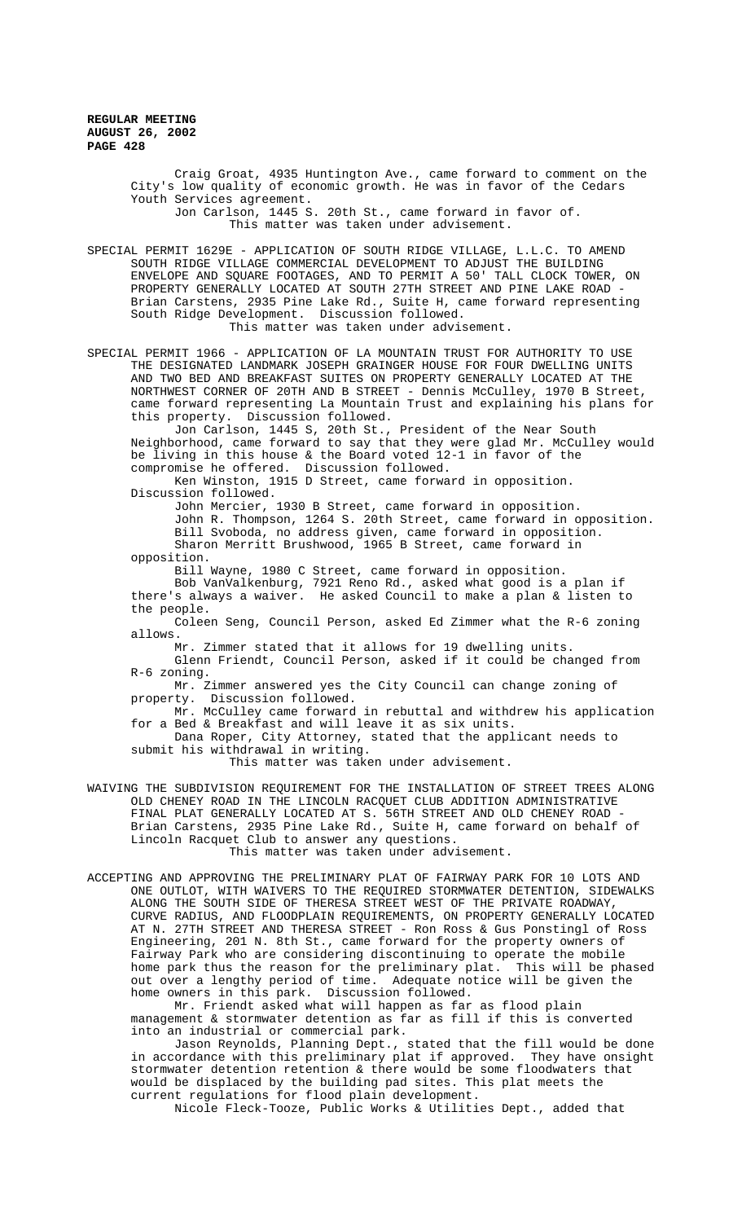> Craig Groat, 4935 Huntington Ave., came forward to comment on the City's low quality of economic growth. He was in favor of the Cedars Youth Services agreement. Jon Carlson, 1445 S. 20th St., came forward in favor of.

This matter was taken under advisement.

SPECIAL PERMIT 1629E - APPLICATION OF SOUTH RIDGE VILLAGE, L.L.C. TO AMEND SOUTH RIDGE VILLAGE COMMERCIAL DEVELOPMENT TO ADJUST THE BUILDING ENVELOPE AND SQUARE FOOTAGES, AND TO PERMIT A 50' TALL CLOCK TOWER, ON PROPERTY GENERALLY LOCATED AT SOUTH 27TH STREET AND PINE LAKE ROAD - Brian Carstens, 2935 Pine Lake Rd., Suite H, came forward representing South Ridge Development. Discussion followed. This matter was taken under advisement.

SPECIAL PERMIT 1966 - APPLICATION OF LA MOUNTAIN TRUST FOR AUTHORITY TO USE THE DESIGNATED LANDMARK JOSEPH GRAINGER HOUSE FOR FOUR DWELLING UNITS AND TWO BED AND BREAKFAST SUITES ON PROPERTY GENERALLY LOCATED AT THE NORTHWEST CORNER OF 20TH AND B STREET - Dennis McCulley, 1970 B Street, came forward representing La Mountain Trust and explaining his plans for this property. Discussion followed.

Jon Carlson, 1445 S, 20th St., President of the Near South Neighborhood, came forward to say that they were glad Mr. McCulley would be living in this house & the Board voted 12-1 in favor of the compromise he offered. Discussion followed.

Ken Winston, 1915 D Street, came forward in opposition. Discussion followed.

John Mercier, 1930 B Street, came forward in opposition.

John R. Thompson, 1264 S. 20th Street, came forward in opposition. Bill Svoboda, no address given, came forward in opposition.

Sharon Merritt Brushwood, 1965 B Street, came forward in opposition.

Bill Wayne, 1980 C Street, came forward in opposition.

Bob VanValkenburg, 7921 Reno Rd., asked what good is a plan if there's always a waiver. He asked Council to make a plan & listen to the people.

Coleen Seng, Council Person, asked Ed Zimmer what the R-6 zoning allows.

Mr. Zimmer stated that it allows for 19 dwelling units.

Glenn Friendt, Council Person, asked if it could be changed from R-6 zoning.

Mr. Zimmer answered yes the City Council can change zoning of property. Discussion followed.

Mr. McCulley came forward in rebuttal and withdrew his application for a Bed & Breakfast and will leave it as six units. Dana Roper, City Attorney, stated that the applicant needs to submit his withdrawal in writing.

This matter was taken under advisement.

WAIVING THE SUBDIVISION REQUIREMENT FOR THE INSTALLATION OF STREET TREES ALONG OLD CHENEY ROAD IN THE LINCOLN RACQUET CLUB ADDITION ADMINISTRATIVE FINAL PLAT GENERALLY LOCATED AT S. 56TH STREET AND OLD CHENEY ROAD - Brian Carstens, 2935 Pine Lake Rd., Suite H, came forward on behalf of Lincoln Racquet Club to answer any questions.

This matter was taken under advisement.

ACCEPTING AND APPROVING THE PRELIMINARY PLAT OF FAIRWAY PARK FOR 10 LOTS AND ONE OUTLOT, WITH WAIVERS TO THE REQUIRED STORMWATER DETENTION, SIDEWALKS ALONG THE SOUTH SIDE OF THERESA STREET WEST OF THE PRIVATE ROADWAY, CURVE RADIUS, AND FLOODPLAIN REQUIREMENTS, ON PROPERTY GENERALLY LOCATED AT N. 27TH STREET AND THERESA STREET - Ron Ross & Gus Ponstingl of Ross Engineering, 201 N. 8th St., came forward for the property owners of Fairway Park who are considering discontinuing to operate the mobile home park thus the reason for the preliminary plat. This will be phased out over a lengthy period of time. Adequate notice will be given the home owners in this park. Discussion followed.

Mr. Friendt asked what will happen as far as flood plain management & stormwater detention as far as fill if this is converted into an industrial or commercial park.

Jason Reynolds, Planning Dept., stated that the fill would be done in accordance with this preliminary plat if approved. They have onsight stormwater detention retention & there would be some floodwaters that would be displaced by the building pad sites. This plat meets the current regulations for flood plain development.

Nicole Fleck-Tooze, Public Works & Utilities Dept., added that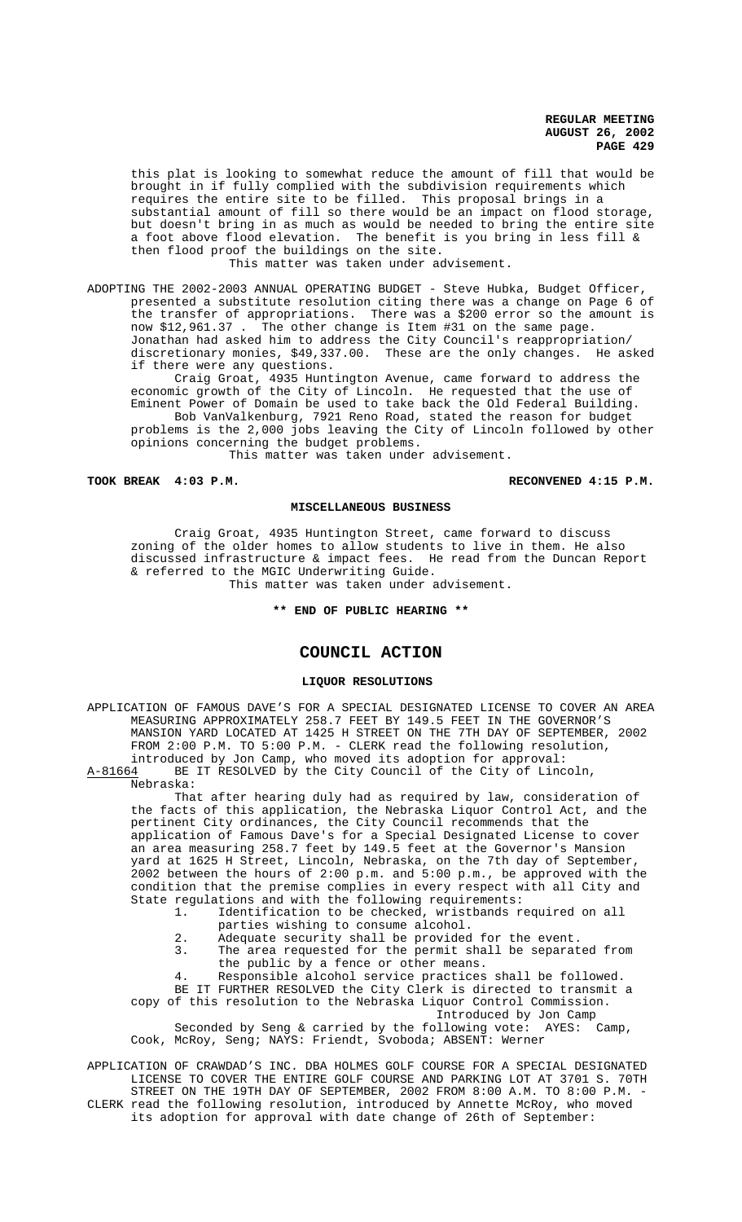this plat is looking to somewhat reduce the amount of fill that would be brought in if fully complied with the subdivision requirements which requires the entire site to be filled. This proposal brings in a substantial amount of fill so there would be an impact on flood storage, but doesn't bring in as much as would be needed to bring the entire site a foot above flood elevation. The benefit is you bring in less fill & then flood proof the buildings on the site.

This matter was taken under advisement.

ADOPTING THE 2002-2003 ANNUAL OPERATING BUDGET - Steve Hubka, Budget Officer, presented a substitute resolution citing there was a change on Page 6 of the transfer of appropriations. There was a \$200 error so the amount is now \$12,961.37 . The other change is Item #31 on the same page. Jonathan had asked him to address the City Council's reappropriation/ discretionary monies, \$49,337.00. These are the only changes. He asked if there were any questions.

Craig Groat, 4935 Huntington Avenue, came forward to address the economic growth of the City of Lincoln. He requested that the use of Eminent Power of Domain be used to take back the Old Federal Building. Bob VanValkenburg, 7921 Reno Road, stated the reason for budget problems is the 2,000 jobs leaving the City of Lincoln followed by other opinions concerning the budget problems.

This matter was taken under advisement.

**TOOK BREAK 4:03 P.M. RECONVENED 4:15 P.M.**

### **MISCELLANEOUS BUSINESS**

Craig Groat, 4935 Huntington Street, came forward to discuss zoning of the older homes to allow students to live in them. He also discussed infrastructure & impact fees. He read from the Duncan Report & referred to the MGIC Underwriting Guide. This matter was taken under advisement.

# **\*\* END OF PUBLIC HEARING \*\***

# **COUNCIL ACTION**

# **LIQUOR RESOLUTIONS**

APPLICATION OF FAMOUS DAVE'S FOR A SPECIAL DESIGNATED LICENSE TO COVER AN AREA MEASURING APPROXIMATELY 258.7 FEET BY 149.5 FEET IN THE GOVERNOR'S MANSION YARD LOCATED AT 1425 H STREET ON THE 7TH DAY OF SEPTEMBER, 2002 FROM 2:00 P.M. TO 5:00 P.M. - CLERK read the following resolution, introduced by Jon Camp, who moved its adoption for approval: A-81664 BE IT RESOLVED by the City Council of the City of Lincoln,

Nebraska:

That after hearing duly had as required by law, consideration of the facts of this application, the Nebraska Liquor Control Act, and the pertinent City ordinances, the City Council recommends that the application of Famous Dave's for a Special Designated License to cover an area measuring 258.7 feet by 149.5 feet at the Governor's Mansion yard at 1625 H Street, Lincoln, Nebraska, on the 7th day of September, 2002 between the hours of 2:00 p.m. and 5:00 p.m., be approved with the condition that the premise complies in every respect with all City and State regulations and with the following requirements:<br>1. Identification to be checked, wristbands re

- Identification to be checked, wristbands required on all parties wishing to consume alcohol.
	- 2. Adequate security shall be provided for the event.
	- 3. The area requested for the permit shall be separated from
	- the public by a fence or other means.
- 4. Responsible alcohol service practices shall be followed.

BE IT FURTHER RESOLVED the City Clerk is directed to transmit a copy of this resolution to the Nebraska Liquor Control Commission. Introduced by Jon Camp

Seconded by Seng & carried by the following vote: AYES: Camp, Cook, McRoy, Seng; NAYS: Friendt, Svoboda; ABSENT: Werner

APPLICATION OF CRAWDAD'S INC. DBA HOLMES GOLF COURSE FOR A SPECIAL DESIGNATED LICENSE TO COVER THE ENTIRE GOLF COURSE AND PARKING LOT AT 3701 S. 70TH STREET ON THE 19TH DAY OF SEPTEMBER, 2002 FROM 8:00 A.M. TO 8:00 P.M. -

CLERK read the following resolution, introduced by Annette McRoy, who moved its adoption for approval with date change of 26th of September: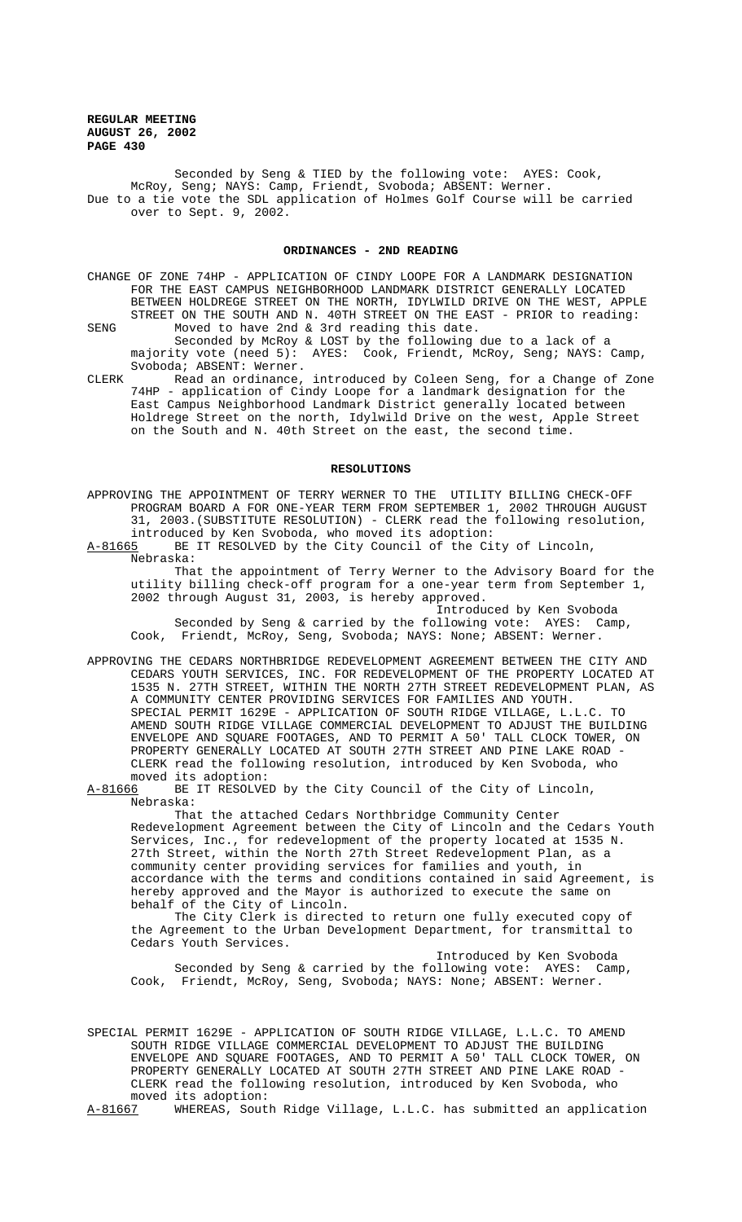Seconded by Seng & TIED by the following vote: AYES: Cook, McRoy, Seng; NAYS: Camp, Friendt, Svoboda; ABSENT: Werner. Due to a tie vote the SDL application of Holmes Golf Course will be carried over to Sept. 9, 2002.

## **ORDINANCES - 2ND READING**

- CHANGE OF ZONE 74HP APPLICATION OF CINDY LOOPE FOR A LANDMARK DESIGNATION FOR THE EAST CAMPUS NEIGHBORHOOD LANDMARK DISTRICT GENERALLY LOCATED BETWEEN HOLDREGE STREET ON THE NORTH, IDYLWILD DRIVE ON THE WEST, APPLE STREET ON THE SOUTH AND N. 40TH STREET ON THE EAST - PRIOR to reading:
- SENG Moved to have 2nd & 3rd reading this date. Seconded by McRoy & LOST by the following due to a lack of a majority vote (need 5): AYES: Cook, Friendt, McRoy, Seng; NAYS: Camp, Svoboda; ABSENT: Werner.
- CLERK Read an ordinance, introduced by Coleen Seng, for a Change of Zone 74HP - application of Cindy Loope for a landmark designation for the East Campus Neighborhood Landmark District generally located between Holdrege Street on the north, Idylwild Drive on the west, Apple Street on the South and N. 40th Street on the east, the second time.

## **RESOLUTIONS**

APPROVING THE APPOINTMENT OF TERRY WERNER TO THE UTILITY BILLING CHECK-OFF PROGRAM BOARD A FOR ONE-YEAR TERM FROM SEPTEMBER 1, 2002 THROUGH AUGUST 31, 2003.(SUBSTITUTE RESOLUTION) - CLERK read the following resolution, introduced by Ken Svoboda, who moved its adoption:<br>A-81665 BE IT RESOLVED by the City Council of the Ci

BE IT RESOLVED by the City Council of the City of Lincoln, Nebraska:

That the appointment of Terry Werner to the Advisory Board for the utility billing check-off program for a one-year term from September 1, 2002 through August 31, 2003, is hereby approved.

Introduced by Ken Svoboda Seconded by Seng & carried by the following vote: AYES: Camp, Cook, Friendt, McRoy, Seng, Svoboda; NAYS: None; ABSENT: Werner.

APPROVING THE CEDARS NORTHBRIDGE REDEVELOPMENT AGREEMENT BETWEEN THE CITY AND CEDARS YOUTH SERVICES, INC. FOR REDEVELOPMENT OF THE PROPERTY LOCATED AT 1535 N. 27TH STREET, WITHIN THE NORTH 27TH STREET REDEVELOPMENT PLAN, AS A COMMUNITY CENTER PROVIDING SERVICES FOR FAMILIES AND YOUTH. SPECIAL PERMIT 1629E - APPLICATION OF SOUTH RIDGE VILLAGE, L.L.C. TO AMEND SOUTH RIDGE VILLAGE COMMERCIAL DEVELOPMENT TO ADJUST THE BUILDING ENVELOPE AND SQUARE FOOTAGES, AND TO PERMIT A 50' TALL CLOCK TOWER, ON PROPERTY GENERALLY LOCATED AT SOUTH 27TH STREET AND PINE LAKE ROAD - CLERK read the following resolution, introduced by Ken Svoboda, who

moved its adoption:<br>A-81666 BE IT RESOLVE BE IT RESOLVED by the City Council of the City of Lincoln, Nebraska:

That the attached Cedars Northbridge Community Center Redevelopment Agreement between the City of Lincoln and the Cedars Youth Services, Inc., for redevelopment of the property located at 1535 N. 27th Street, within the North 27th Street Redevelopment Plan, as a community center providing services for families and youth, in accordance with the terms and conditions contained in said Agreement, is hereby approved and the Mayor is authorized to execute the same on behalf of the City of Lincoln.

The City Clerk is directed to return one fully executed copy of the Agreement to the Urban Development Department, for transmittal to Cedars Youth Services.

Introduced by Ken Svoboda Seconded by Seng & carried by the following vote: AYES: Camp, Cook, Friendt, McRoy, Seng, Svoboda; NAYS: None; ABSENT: Werner.

SPECIAL PERMIT 1629E - APPLICATION OF SOUTH RIDGE VILLAGE, L.L.C. TO AMEND SOUTH RIDGE VILLAGE COMMERCIAL DEVELOPMENT TO ADJUST THE BUILDING ENVELOPE AND SQUARE FOOTAGES, AND TO PERMIT A 50' TALL CLOCK TOWER, ON PROPERTY GENERALLY LOCATED AT SOUTH 27TH STREET AND PINE LAKE ROAD - CLERK read the following resolution, introduced by Ken Svoboda, who moved its adoption:<br>A-81667 WHEREAS, Sout

WHEREAS, South Ridge Village, L.L.C. has submitted an application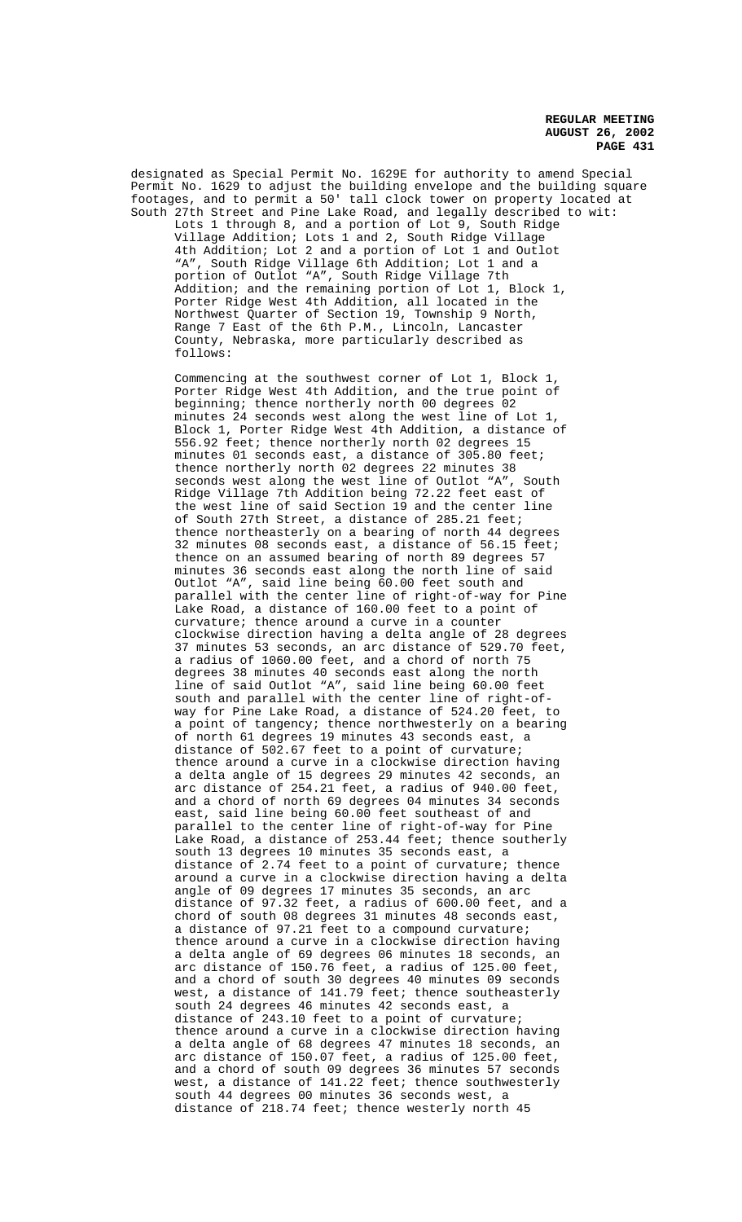designated as Special Permit No. 1629E for authority to amend Special Permit No. 1629 to adjust the building envelope and the building square footages, and to permit a 50' tall clock tower on property located at South 27th Street and Pine Lake Road, and legally described to wit: Lots 1 through 8, and a portion of Lot 9, South Ridge Village Addition; Lots 1 and 2, South Ridge Village 4th Addition; Lot 2 and a portion of Lot 1 and Outlot "A", South Ridge Village 6th Addition; Lot 1 and a portion of Outlot "A", South Ridge Village 7th Addition; and the remaining portion of Lot 1, Block 1, Porter Ridge West 4th Addition, all located in the Northwest Quarter of Section 19, Township 9 North, Range 7 East of the 6th P.M., Lincoln, Lancaster County, Nebraska, more particularly described as follows: Commencing at the southwest corner of Lot 1, Block 1, Porter Ridge West 4th Addition, and the true point of beginning; thence northerly north 00 degrees 02 minutes 24 seconds west along the west line of Lot 1, Block 1, Porter Ridge West 4th Addition, a distance of 556.92 feet; thence northerly north 02 degrees 15 minutes 01 seconds east, a distance of 305.80 feet; thence northerly north 02 degrees 22 minutes 38 seconds west along the west line of Outlot "A", South Ridge Village 7th Addition being 72.22 feet east of the west line of said Section 19 and the center line of South 27th Street, a distance of 285.21 feet; thence northeasterly on a bearing of north 44 degrees 32 minutes 08 seconds east, a distance of 56.15 feet; thence on an assumed bearing of north 89 degrees 57 minutes 36 seconds east along the north line of said Outlot "A", said line being 60.00 feet south and parallel with the center line of right-of-way for Pine Lake Road, a distance of 160.00 feet to a point of curvature; thence around a curve in a counter clockwise direction having a delta angle of 28 degrees 37 minutes 53 seconds, an arc distance of 529.70 feet, a radius of 1060.00 feet, and a chord of north 75 degrees 38 minutes 40 seconds east along the north line of said Outlot "A", said line being 60.00 feet south and parallel with the center line of right-ofway for Pine Lake Road, a distance of 524.20 feet, to a point of tangency; thence northwesterly on a bearing of north 61 degrees 19 minutes 43 seconds east, a distance of 502.67 feet to a point of curvature; thence around a curve in a clockwise direction having a delta angle of 15 degrees 29 minutes 42 seconds, an arc distance of 254.21 feet, a radius of 940.00 feet, and a chord of north 69 degrees 04 minutes 34 seconds east, said line being 60.00 feet southeast of and parallel to the center line of right-of-way for Pine Lake Road, a distance of 253.44 feet; thence southerly south 13 degrees 10 minutes 35 seconds east, a distance of 2.74 feet to a point of curvature; thence around a curve in a clockwise direction having a delta angle of 09 degrees 17 minutes 35 seconds, an arc distance of 97.32 feet, a radius of 600.00 feet, and a chord of south 08 degrees 31 minutes 48 seconds east, a distance of 97.21 feet to a compound curvature; thence around a curve in a clockwise direction having a delta angle of 69 degrees 06 minutes 18 seconds, an arc distance of 150.76 feet, a radius of 125.00 feet, and a chord of south 30 degrees 40 minutes 09 seconds west, a distance of 141.79 feet; thence southeasterly south 24 degrees 46 minutes 42 seconds east, a distance of 243.10 feet to a point of curvature; thence around a curve in a clockwise direction having a delta angle of 68 degrees 47 minutes 18 seconds, an arc distance of 150.07 feet, a radius of 125.00 feet, and a chord of south 09 degrees 36 minutes 57 seconds west, a distance of 141.22 feet; thence southwesterly

south 44 degrees 00 minutes 36 seconds west, a distance of 218.74 feet; thence westerly north 45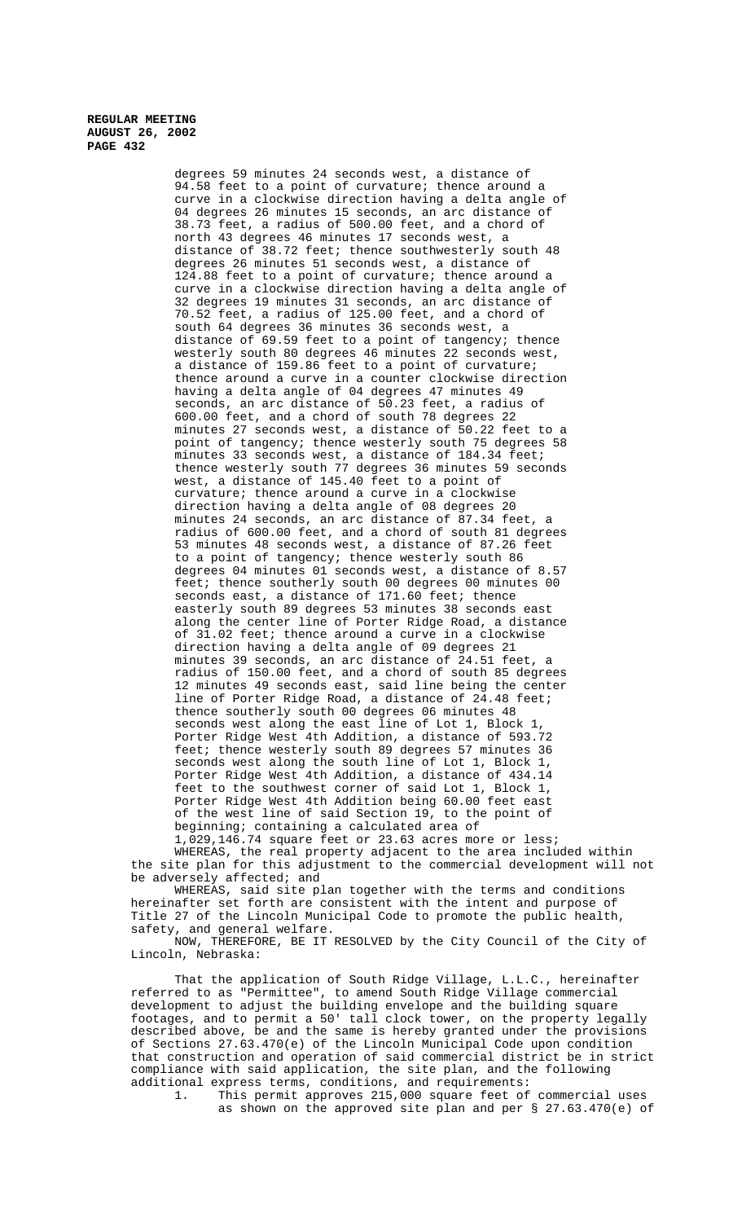> degrees 59 minutes 24 seconds west, a distance of 94.58 feet to a point of curvature; thence around a curve in a clockwise direction having a delta angle of 04 degrees 26 minutes 15 seconds, an arc distance of 38.73 feet, a radius of 500.00 feet, and a chord of north 43 degrees 46 minutes 17 seconds west, a distance of 38.72 feet; thence southwesterly south 48 degrees 26 minutes 51 seconds west, a distance of 124.88 feet to a point of curvature; thence around a curve in a clockwise direction having a delta angle of 32 degrees 19 minutes 31 seconds, an arc distance of 70.52 feet, a radius of 125.00 feet, and a chord of south 64 degrees 36 minutes 36 seconds west, a distance of 69.59 feet to a point of tangency; thence westerly south 80 degrees 46 minutes 22 seconds west, a distance of 159.86 feet to a point of curvature; thence around a curve in a counter clockwise direction having a delta angle of 04 degrees 47 minutes 49 seconds, an arc distance of 50.23 feet, a radius of 600.00 feet, and a chord of south 78 degrees 22 minutes 27 seconds west, a distance of 50.22 feet to a point of tangency; thence westerly south 75 degrees 58 minutes 33 seconds west, a distance of 184.34 feet; thence westerly south 77 degrees 36 minutes 59 seconds west, a distance of 145.40 feet to a point of curvature; thence around a curve in a clockwise direction having a delta angle of 08 degrees 20 minutes 24 seconds, an arc distance of 87.34 feet, a radius of 600.00 feet, and a chord of south 81 degrees 53 minutes 48 seconds west, a distance of 87.26 feet to a point of tangency; thence westerly south 86 degrees 04 minutes 01 seconds west, a distance of 8.57 feet; thence southerly south 00 degrees 00 minutes 00 seconds east, a distance of 171.60 feet; thence easterly south 89 degrees 53 minutes 38 seconds east along the center line of Porter Ridge Road, a distance of  $31.02$  feet; thence around a curve in a clockwise direction having a delta angle of 09 degrees 21 minutes 39 seconds, an arc distance of 24.51 feet, a radius of 150.00 feet, and a chord of south 85 degrees 12 minutes 49 seconds east, said line being the center line of Porter Ridge Road, a distance of 24.48 feet; thence southerly south 00 degrees 06 minutes 48 seconds west along the east line of Lot 1, Block 1, Porter Ridge West 4th Addition, a distance of 593.72 feet; thence westerly south 89 degrees 57 minutes 36 seconds west along the south line of Lot 1, Block 1, Porter Ridge West 4th Addition, a distance of 434.14 feet to the southwest corner of said Lot 1, Block 1, Porter Ridge West 4th Addition being 60.00 feet east of the west line of said Section 19, to the point of beginning; containing a calculated area of

1,029,146.74 square feet or 23.63 acres more or less; WHEREAS, the real property adjacent to the area included within the site plan for this adjustment to the commercial development will not be adversely affected; and

WHEREAS, said site plan together with the terms and conditions hereinafter set forth are consistent with the intent and purpose of Title 27 of the Lincoln Municipal Code to promote the public health, safety, and general welfare.

NOW, THEREFORE, BE IT RESOLVED by the City Council of the City of Lincoln, Nebraska:

That the application of South Ridge Village, L.L.C., hereinafter referred to as "Permittee", to amend South Ridge Village commercial development to adjust the building envelope and the building square footages, and to permit a 50' tall clock tower, on the property legally described above, be and the same is hereby granted under the provisions of Sections 27.63.470(e) of the Lincoln Municipal Code upon condition that construction and operation of said commercial district be in strict compliance with said application, the site plan, and the following additional express terms, conditions, and requirements:<br>1. This permit approves 215,000 square feet of

This permit approves 215,000 square feet of commercial uses as shown on the approved site plan and per § 27.63.470(e) of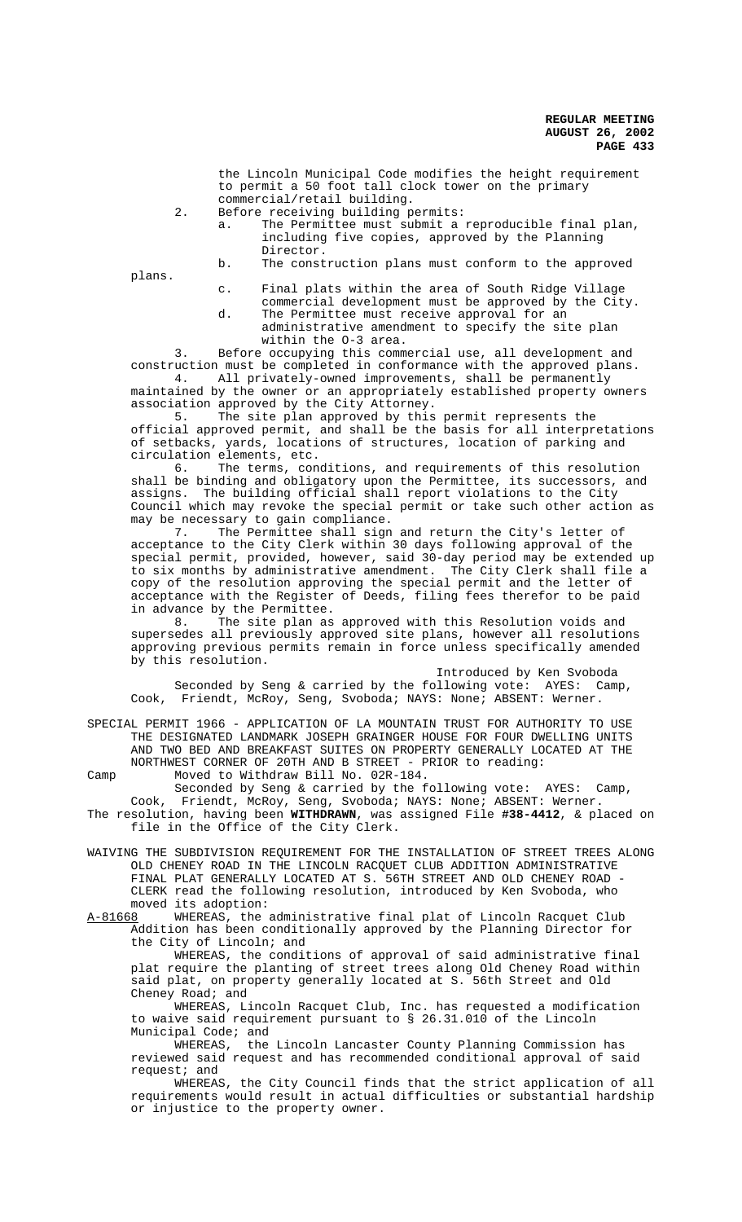the Lincoln Municipal Code modifies the height requirement to permit a 50 foot tall clock tower on the primary commercial/retail building.

- 2. Before receiving building permits:
	- a. The Permittee must submit a reproducible final plan, including five copies, approved by the Planning Director.
	- b. The construction plans must conform to the approved

plans.

- c. Final plats within the area of South Ridge Village commercial development must be approved by the City.
- d. The Permittee must receive approval for an administrative amendment to specify the site plan within the O-3 area.

3. Before occupying this commercial use, all development and construction must be completed in conformance with the approved plans. 4. All privately-owned improvements, shall be permanently maintained by the owner or an appropriately established property owners

association approved by the City Attorney.

5. The site plan approved by this permit represents the official approved permit, and shall be the basis for all interpretations of setbacks, yards, locations of structures, location of parking and circulation elements, etc.<br>6. The terms, con

The terms, conditions, and requirements of this resolution shall be binding and obligatory upon the Permittee, its successors, and assigns. The building official shall report violations to the City Council which may revoke the special permit or take such other action as may be necessary to gain compliance.

7. The Permittee shall sign and return the City's letter of acceptance to the City Clerk within 30 days following approval of the special permit, provided, however, said 30-day period may be extended up to six months by administrative amendment. The City Clerk shall file a copy of the resolution approving the special permit and the letter of acceptance with the Register of Deeds, filing fees therefor to be paid

in advance by the Permittee.<br>8. The site plan as The site plan as approved with this Resolution voids and supersedes all previously approved site plans, however all resolutions approving previous permits remain in force unless specifically amended by this resolution.

Introduced by Ken Svoboda Seconded by Seng & carried by the following vote: AYES: Camp, Cook, Friendt, McRoy, Seng, Svoboda; NAYS: None; ABSENT: Werner.

SPECIAL PERMIT 1966 - APPLICATION OF LA MOUNTAIN TRUST FOR AUTHORITY TO USE THE DESIGNATED LANDMARK JOSEPH GRAINGER HOUSE FOR FOUR DWELLING UNITS AND TWO BED AND BREAKFAST SUITES ON PROPERTY GENERALLY LOCATED AT THE NORTHWEST CORNER OF 20TH AND B STREET - PRIOR to reading:

Camp Moved to Withdraw Bill No. 02R-184. Seconded by Seng & carried by the following vote: AYES: Camp, Cook, Friendt, McRoy, Seng, Svoboda; NAYS: None; ABSENT: Werner. The resolution, having been **WITHDRAWN**, was assigned File **#38-4412**, & placed on file in the Office of the City Clerk.

WAIVING THE SUBDIVISION REQUIREMENT FOR THE INSTALLATION OF STREET TREES ALONG OLD CHENEY ROAD IN THE LINCOLN RACQUET CLUB ADDITION ADMINISTRATIVE FINAL PLAT GENERALLY LOCATED AT S. 56TH STREET AND OLD CHENEY ROAD - CLERK read the following resolution, introduced by Ken Svoboda, who moved its adoption:

A-81668 WHEREAS, the administrative final plat of Lincoln Racquet Club Addition has been conditionally approved by the Planning Director for the City of Lincoln; and

WHEREAS, the conditions of approval of said administrative final plat require the planting of street trees along Old Cheney Road within said plat, on property generally located at S. 56th Street and Old Cheney Road; and

WHEREAS, Lincoln Racquet Club, Inc. has requested a modification to waive said requirement pursuant to § 26.31.010 of the Lincoln Municipal Code; and

WHEREAS, the Lincoln Lancaster County Planning Commission has reviewed said request and has recommended conditional approval of said request; and

WHEREAS, the City Council finds that the strict application of all requirements would result in actual difficulties or substantial hardship or injustice to the property owner.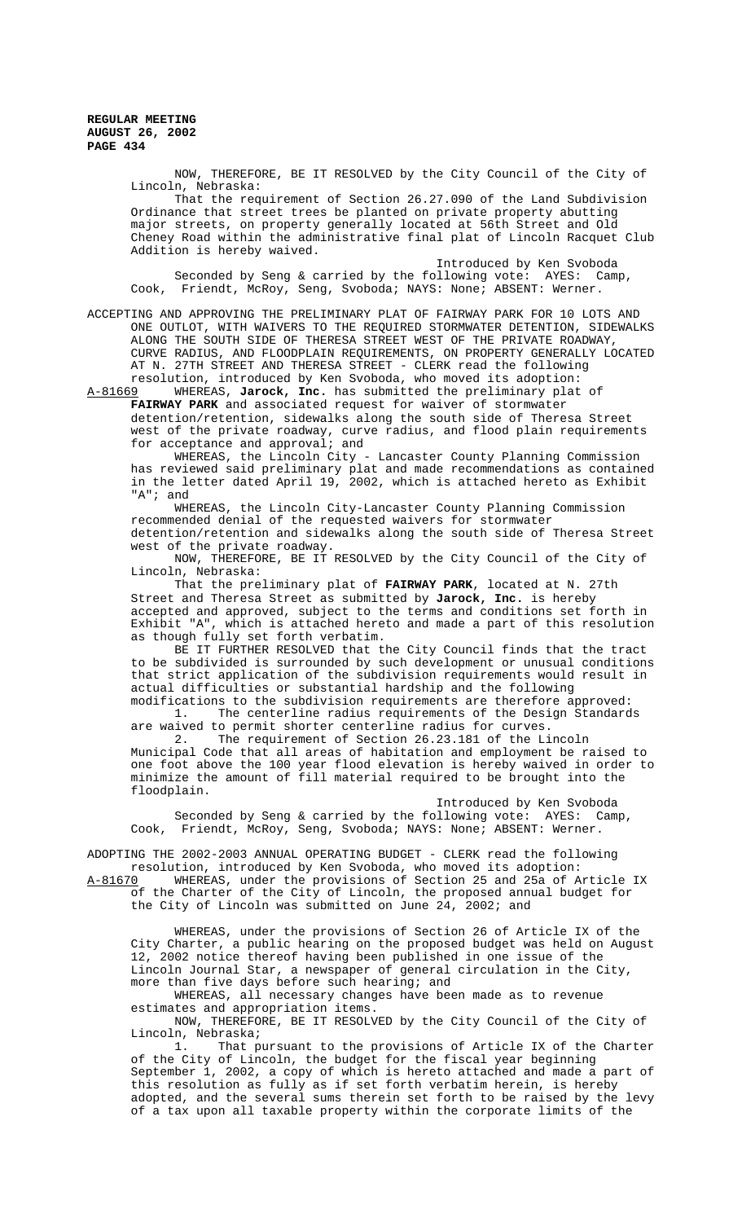> NOW, THEREFORE, BE IT RESOLVED by the City Council of the City of Lincoln, Nebraska:

That the requirement of Section 26.27.090 of the Land Subdivision Ordinance that street trees be planted on private property abutting major streets, on property generally located at 56th Street and Old Cheney Road within the administrative final plat of Lincoln Racquet Club Addition is hereby waived.

Introduced by Ken Svoboda Seconded by Seng & carried by the following vote: AYES: Camp, Cook, Friendt, McRoy, Seng, Svoboda; NAYS: None; ABSENT: Werner.

ACCEPTING AND APPROVING THE PRELIMINARY PLAT OF FAIRWAY PARK FOR 10 LOTS AND ONE OUTLOT, WITH WAIVERS TO THE REQUIRED STORMWATER DETENTION, SIDEWALKS ALONG THE SOUTH SIDE OF THERESA STREET WEST OF THE PRIVATE ROADWAY, CURVE RADIUS, AND FLOODPLAIN REQUIREMENTS, ON PROPERTY GENERALLY LOCATED AT N. 27TH STREET AND THERESA STREET - CLERK read the following resolution, introduced by Ken Svoboda, who moved its adoption:

A-81669 WHEREAS, **Jarock, Inc.** has submitted the preliminary plat of **FAIRWAY PARK** and associated request for waiver of stormwater detention/retention, sidewalks along the south side of Theresa Street west of the private roadway, curve radius, and flood plain requirements for acceptance and approval; and

WHEREAS, the Lincoln City - Lancaster County Planning Commission has reviewed said preliminary plat and made recommendations as contained in the letter dated April 19, 2002, which is attached hereto as Exhibit "A"; and

WHEREAS, the Lincoln City-Lancaster County Planning Commission recommended denial of the requested waivers for stormwater detention/retention and sidewalks along the south side of Theresa Street west of the private roadway.

NOW, THEREFORE, BE IT RESOLVED by the City Council of the City of Lincoln, Nebraska:

That the preliminary plat of **FAIRWAY PARK**, located at N. 27th Street and Theresa Street as submitted by **Jarock, Inc.** is hereby accepted and approved, subject to the terms and conditions set forth in Exhibit "A", which is attached hereto and made a part of this resolution as though fully set forth verbatim.

BE IT FURTHER RESOLVED that the City Council finds that the tract to be subdivided is surrounded by such development or unusual conditions that strict application of the subdivision requirements would result in actual difficulties or substantial hardship and the following modifications to the subdivision requirements are therefore approved:

1. The centerline radius requirements of the Design Standards are waived to permit shorter centerline radius for curves. 2. The requirement of Section 26.23.181 of the Lincoln

Municipal Code that all areas of habitation and employment be raised to one foot above the 100 year flood elevation is hereby waived in order to minimize the amount of fill material required to be brought into the floodplain.

Introduced by Ken Svoboda Seconded by Seng & carried by the following vote: AYES: Camp, Cook, Friendt, McRoy, Seng, Svoboda; NAYS: None; ABSENT: Werner.

ADOPTING THE 2002-2003 ANNUAL OPERATING BUDGET - CLERK read the following resolution, introduced by Ken Svoboda, who moved its adoption:<br>A-81670 WHEREAS, under the provisions of Section 25 and 25a of A A-81670 WHEREAS, under the provisions of Section 25 and 25a of Article IX of the Charter of the City of Lincoln, the proposed annual budget for

the City of Lincoln was submitted on June 24, 2002; and

WHEREAS, under the provisions of Section 26 of Article IX of the City Charter, a public hearing on the proposed budget was held on August 12, 2002 notice thereof having been published in one issue of the Lincoln Journal Star, a newspaper of general circulation in the City, more than five days before such hearing; and

WHEREAS, all necessary changes have been made as to revenue estimates and appropriation items.

NOW, THEREFORE, BE IT RESOLVED by the City Council of the City of Lincoln, Nebraska;<br>1. That p

That pursuant to the provisions of Article IX of the Charter of the City of Lincoln, the budget for the fiscal year beginning September 1, 2002, a copy of which is hereto attached and made a part of this resolution as fully as if set forth verbatim herein, is hereby adopted, and the several sums therein set forth to be raised by the levy of a tax upon all taxable property within the corporate limits of the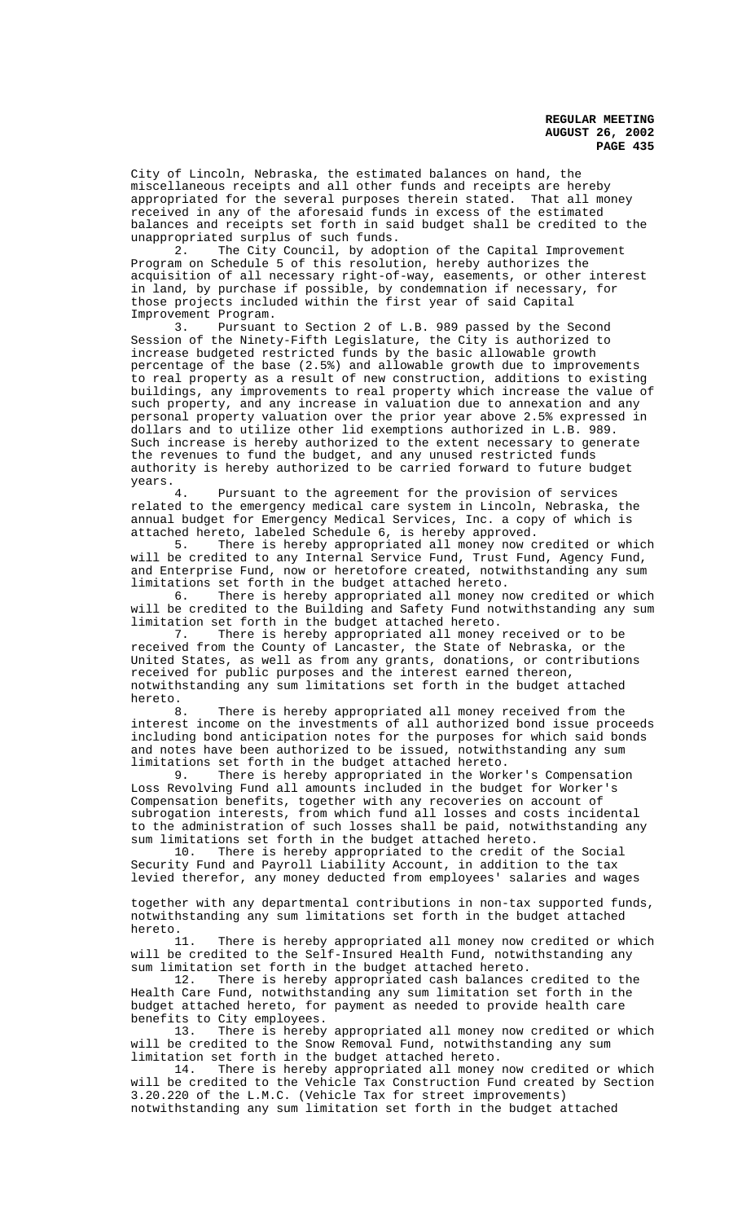City of Lincoln, Nebraska, the estimated balances on hand, the miscellaneous receipts and all other funds and receipts are hereby appropriated for the several purposes therein stated. That all money received in any of the aforesaid funds in excess of the estimated balances and receipts set forth in said budget shall be credited to the unappropriated surplus of such funds.

2. The City Council, by adoption of the Capital Improvement Program on Schedule 5 of this resolution, hereby authorizes the acquisition of all necessary right-of-way, easements, or other interest in land, by purchase if possible, by condemnation if necessary, for those projects included within the first year of said Capital Improvement Program.

3. Pursuant to Section 2 of L.B. 989 passed by the Second Session of the Ninety-Fifth Legislature, the City is authorized to increase budgeted restricted funds by the basic allowable growth percentage of the base (2.5%) and allowable growth due to improvements to real property as a result of new construction, additions to existing buildings, any improvements to real property which increase the value of such property, and any increase in valuation due to annexation and any personal property valuation over the prior year above 2.5% expressed in dollars and to utilize other lid exemptions authorized in L.B. 989. Such increase is hereby authorized to the extent necessary to generate the revenues to fund the budget, and any unused restricted funds authority is hereby authorized to be carried forward to future budget years.

Pursuant to the agreement for the provision of services related to the emergency medical care system in Lincoln, Nebraska, the annual budget for Emergency Medical Services, Inc. a copy of which is attached hereto, labeled Schedule 6, is hereby approved.

5. There is hereby appropriated all money now credited or which will be credited to any Internal Service Fund, Trust Fund, Agency Fund, and Enterprise Fund, now or heretofore created, notwithstanding any sum limitations set forth in the budget attached hereto.

6. There is hereby appropriated all money now credited or which will be credited to the Building and Safety Fund notwithstanding any sum limitation set forth in the budget attached hereto.

7. There is hereby appropriated all money received or to be received from the County of Lancaster, the State of Nebraska, or the United States, as well as from any grants, donations, or contributions received for public purposes and the interest earned thereon, notwithstanding any sum limitations set forth in the budget attached hereto.

8. There is hereby appropriated all money received from the interest income on the investments of all authorized bond issue proceeds including bond anticipation notes for the purposes for which said bonds and notes have been authorized to be issued, notwithstanding any sum limitations set forth in the budget attached hereto.

9. There is hereby appropriated in the Worker's Compensation Loss Revolving Fund all amounts included in the budget for Worker's Compensation benefits, together with any recoveries on account of subrogation interests, from which fund all losses and costs incidental to the administration of such losses shall be paid, notwithstanding any sum limitations set forth in the budget attached hereto.

10. There is hereby appropriated to the credit of the Social Security Fund and Payroll Liability Account, in addition to the tax levied therefor, any money deducted from employees' salaries and wages

together with any departmental contributions in non-tax supported funds, notwithstanding any sum limitations set forth in the budget attached hereto.<br>11.

There is hereby appropriated all money now credited or which will be credited to the Self-Insured Health Fund, notwithstanding any

sum limitation set forth in the budget attached hereto.<br>12. There is hereby appropriated cash balances There is hereby appropriated cash balances credited to the Health Care Fund, notwithstanding any sum limitation set forth in the budget attached hereto, for payment as needed to provide health care benefits to City employees.

13. There is hereby appropriated all money now credited or which will be credited to the Snow Removal Fund, notwithstanding any sum limitation set forth in the budget attached hereto.

14. There is hereby appropriated all money now credited or which will be credited to the Vehicle Tax Construction Fund created by Section 3.20.220 of the L.M.C. (Vehicle Tax for street improvements) notwithstanding any sum limitation set forth in the budget attached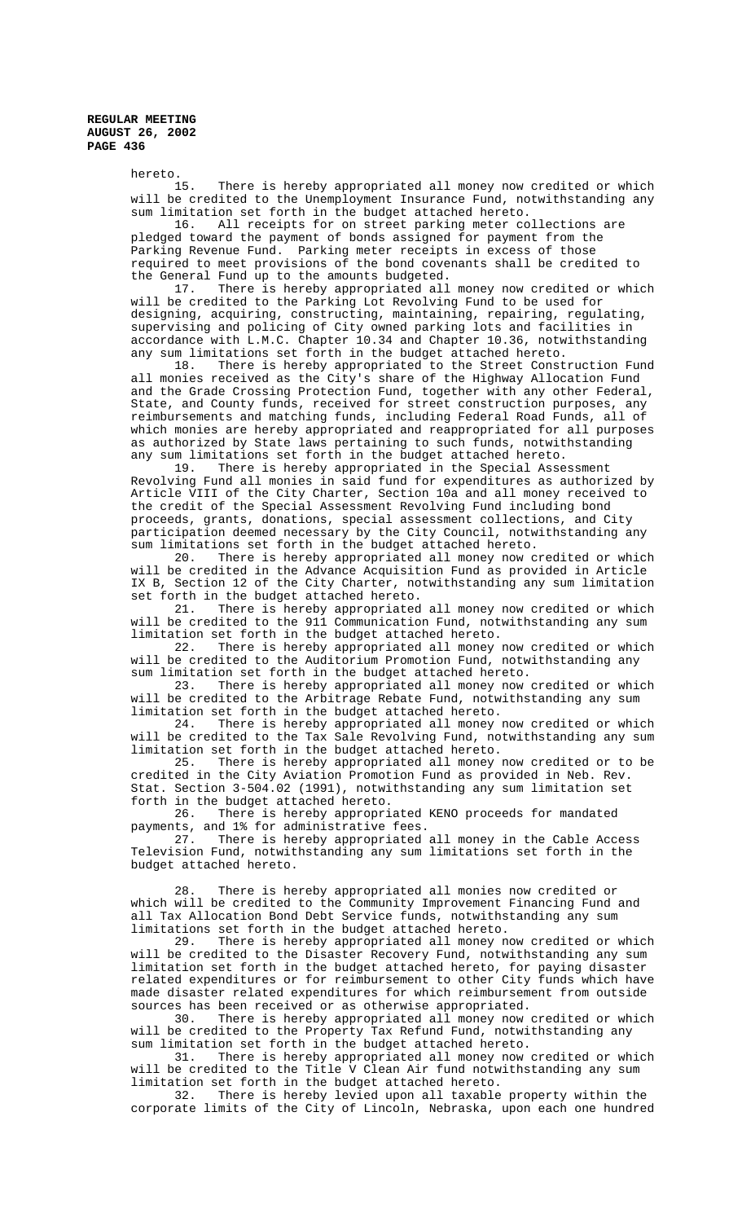hereto.<br>15. There is hereby appropriated all money now credited or which will be credited to the Unemployment Insurance Fund, notwithstanding any sum limitation set forth in the budget attached hereto.

16. All receipts for on street parking meter collections are pledged toward the payment of bonds assigned for payment from the Parking Revenue Fund. Parking meter receipts in excess of those required to meet provisions of the bond covenants shall be credited to the General Fund up to the amounts budgeted.<br>17. There is hereby appropriated all

There is hereby appropriated all money now credited or which will be credited to the Parking Lot Revolving Fund to be used for designing, acquiring, constructing, maintaining, repairing, regulating, supervising and policing of City owned parking lots and facilities in accordance with L.M.C. Chapter 10.34 and Chapter 10.36, notwithstanding any sum limitations set forth in the budget attached hereto.

18. There is hereby appropriated to the Street Construction Fund all monies received as the City's share of the Highway Allocation Fund and the Grade Crossing Protection Fund, together with any other Federal, State, and County funds, received for street construction purposes, any reimbursements and matching funds, including Federal Road Funds, all of which monies are hereby appropriated and reappropriated for all purposes as authorized by State laws pertaining to such funds, notwithstanding any sum limitations set forth in the budget attached hereto.<br>19. There is hereby appropriated in the Special Asse

There is hereby appropriated in the Special Assessment Revolving Fund all monies in said fund for expenditures as authorized by Article VIII of the City Charter, Section 10a and all money received to the credit of the Special Assessment Revolving Fund including bond proceeds, grants, donations, special assessment collections, and City participation deemed necessary by the City Council, notwithstanding any sum limitations set forth in the budget attached hereto.

20. There is hereby appropriated all money now credited or which will be credited in the Advance Acquisition Fund as provided in Article IX B, Section 12 of the City Charter, notwithstanding any sum limitation set forth in the budget attached hereto.<br>21. There is hereby appropriated

There is hereby appropriated all money now credited or which will be credited to the 911 Communication Fund, notwithstanding any sum limitation set forth in the budget attached hereto.

There is hereby appropriated all money now credited or which will be credited to the Auditorium Promotion Fund, notwithstanding any sum limitation set forth in the budget attached hereto.

23. There is hereby appropriated all money now credited or which will be credited to the Arbitrage Rebate Fund, notwithstanding any sum limitation set forth in the budget attached hereto.

24. There is hereby appropriated all money now credited or which will be credited to the Tax Sale Revolving Fund, notwithstanding any sum limitation set forth in the budget attached hereto.<br>25. There is hereby appropriated all money

There is hereby appropriated all money now credited or to be credited in the City Aviation Promotion Fund as provided in Neb. Rev. Stat. Section 3-504.02 (1991), notwithstanding any sum limitation set forth in the budget attached hereto.<br>26. There is hereby appropri

There is hereby appropriated KENO proceeds for mandated payments, and 1% for administrative fees.<br>27. There is hereby appropriated

There is hereby appropriated all money in the Cable Access Television Fund, notwithstanding any sum limitations set forth in the budget attached hereto.

28. There is hereby appropriated all monies now credited or which will be credited to the Community Improvement Financing Fund and all Tax Allocation Bond Debt Service funds, notwithstanding any sum limitations set forth in the budget attached hereto.

There is hereby appropriated all money now credited or which will be credited to the Disaster Recovery Fund, notwithstanding any sum limitation set forth in the budget attached hereto, for paying disaster related expenditures or for reimbursement to other City funds which have made disaster related expenditures for which reimbursement from outside sources has been received or as otherwise appropriated.

30. There is hereby appropriated all money now credited or which will be credited to the Property Tax Refund Fund, notwithstanding any sum limitation set forth in the budget attached hereto.

31. There is hereby appropriated all money now credited or which will be credited to the Title V Clean Air fund notwithstanding any sum limitation set forth in the budget attached hereto.

32. There is hereby levied upon all taxable property within the corporate limits of the City of Lincoln, Nebraska, upon each one hundred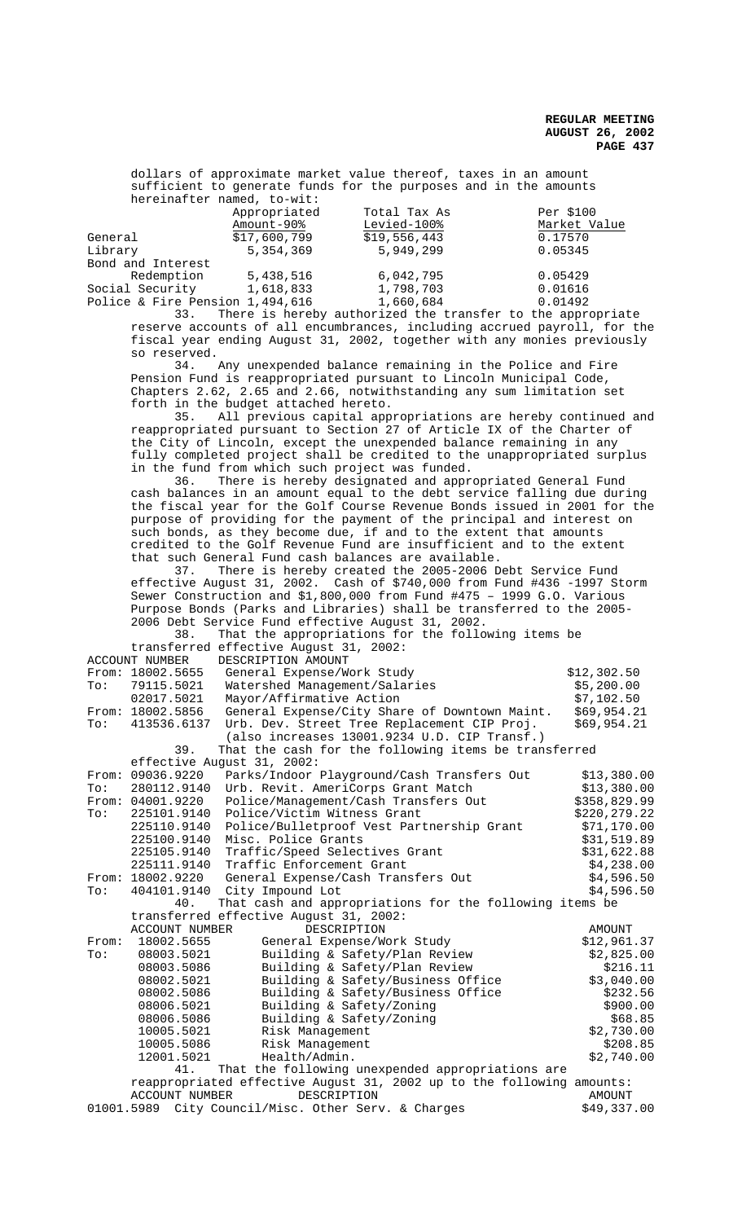dollars of approximate market value thereof, taxes in an amount sufficient to generate funds for the purposes and in the amounts hereinafter named, to-wit:

|                                 | Appropriated | Total Tax As                                                                               | Per \$100    |
|---------------------------------|--------------|--------------------------------------------------------------------------------------------|--------------|
|                                 | Amount-90%   | Levied-100%                                                                                | Market Value |
| General                         | \$17,600,799 | \$19,556,443                                                                               | 0.17570      |
| Library                         | 5, 354, 369  | 5,949,299                                                                                  | 0.05345      |
| Bond and Interest               |              |                                                                                            |              |
| Redemption                      | 5,438,516    | 6,042,795                                                                                  | 0.05429      |
| Social Security                 | 1,618,833    | 1,798,703                                                                                  | 0.01616      |
| Police & Fire Pension 1,494,616 |              | 1,660,684                                                                                  | 0.01492      |
|                                 |              | nn - mar an that a chuidheann an chuidheadh an chuidheann an air ann an an air an chuidhea |              |

33. There is hereby authorized the transfer to the appropriate reserve accounts of all encumbrances, including accrued payroll, for the fiscal year ending August 31, 2002, together with any monies previously so reserved.

34. Any unexpended balance remaining in the Police and Fire Pension Fund is reappropriated pursuant to Lincoln Municipal Code, Chapters 2.62, 2.65 and 2.66, notwithstanding any sum limitation set forth in the budget attached hereto.

35. All previous capital appropriations are hereby continued and reappropriated pursuant to Section 27 of Article IX of the Charter of the City of Lincoln, except the unexpended balance remaining in any fully completed project shall be credited to the unappropriated surplus in the fund from which such project was funded.<br>36. There is hereby designated and appro

There is hereby designated and appropriated General Fund cash balances in an amount equal to the debt service falling due during the fiscal year for the Golf Course Revenue Bonds issued in 2001 for the purpose of providing for the payment of the principal and interest on such bonds, as they become due, if and to the extent that amounts credited to the Golf Revenue Fund are insufficient and to the extent that such General Fund cash balances are available.

37. There is hereby created the 2005-2006 Debt Service Fund effective August 31, 2002. Cash of \$740,000 from Fund #436 -1997 Storm Sewer Construction and \$1,800,000 from Fund #475 - 1999 G.O. Various Purpose Bonds (Parks and Libraries) shall be transferred to the 2005- 2006 Debt Service Fund effective August 31, 2002.

38. That the appropriations for the following items be transferred effective August 31, 2002:

| <b>ACCOUNT NUMBER</b>                                                                                 |                                                                | DESCRIPTION AMOUNT                                   |               |  |  |  |
|-------------------------------------------------------------------------------------------------------|----------------------------------------------------------------|------------------------------------------------------|---------------|--|--|--|
|                                                                                                       | From: 18002.5655                                               | General Expense/Work Study                           | \$12,302.50   |  |  |  |
| To:                                                                                                   | 79115.5021                                                     | Watershed Management/Salaries                        | \$5,200.00    |  |  |  |
|                                                                                                       | 02017.5021                                                     | Mayor/Affirmative Action                             | \$7,102.50    |  |  |  |
|                                                                                                       | From: 18002.5856                                               | General Expense/City Share of Downtown Maint.        | \$69,954.21   |  |  |  |
| To:                                                                                                   | 413536.6137                                                    | Urb. Dev. Street Tree Replacement CIP Proj.          | \$69,954.21   |  |  |  |
|                                                                                                       |                                                                | (also increases 13001.9234 U.D. CIP Transf.)         |               |  |  |  |
|                                                                                                       | 39.                                                            | That the cash for the following items be transferred |               |  |  |  |
|                                                                                                       |                                                                | effective August 31, 2002:                           |               |  |  |  |
|                                                                                                       | From: 09036.9220                                               | Parks/Indoor Playground/Cash Transfers Out           | \$13,380.00   |  |  |  |
| To:                                                                                                   | 280112.9140                                                    | Urb. Revit. AmeriCorps Grant Match                   | \$13,380.00   |  |  |  |
|                                                                                                       | From: 04001.9220                                               | Police/Management/Cash Transfers Out                 | \$358,829.99  |  |  |  |
| To:                                                                                                   | 225101.9140                                                    | Police/Victim Witness Grant                          | \$220,279.22  |  |  |  |
|                                                                                                       | 225110.9140                                                    | Police/Bulletproof Vest Partnership Grant            | \$71,170.00   |  |  |  |
|                                                                                                       | 225100.9140                                                    | Misc. Police Grants                                  | \$31,519.89   |  |  |  |
|                                                                                                       | 225105.9140                                                    | Traffic/Speed Selectives Grant                       | \$31,622.88   |  |  |  |
|                                                                                                       | 225111.9140                                                    | Traffic Enforcement Grant                            | \$4,238.00    |  |  |  |
| From:                                                                                                 | 18002.9220                                                     | General Expense/Cash Transfers Out                   | \$4,596.50    |  |  |  |
| To:                                                                                                   | 404101.9140                                                    | City Impound Lot                                     | \$4,596.50    |  |  |  |
|                                                                                                       | 40.<br>That cash and appropriations for the following items be |                                                      |               |  |  |  |
|                                                                                                       |                                                                | transferred effective August 31, 2002:               |               |  |  |  |
|                                                                                                       | <b>ACCOUNT NUMBER</b>                                          | DESCRIPTION                                          | <b>AMOUNT</b> |  |  |  |
| From:                                                                                                 | 18002.5655                                                     | General Expense/Work Study                           | \$12,961.37   |  |  |  |
| To:                                                                                                   | 08003.5021                                                     | Building & Safety/Plan Review                        | \$2,825.00    |  |  |  |
|                                                                                                       | 08003.5086                                                     | Building & Safety/Plan Review                        | \$216.11      |  |  |  |
|                                                                                                       | 08002.5021                                                     | Building & Safety/Business Office                    | \$3,040.00    |  |  |  |
|                                                                                                       | 08002.5086                                                     | Building & Safety/Business Office                    | \$232.56      |  |  |  |
|                                                                                                       | 08006.5021                                                     | Building & Safety/Zoning                             | \$900.00      |  |  |  |
|                                                                                                       | 08006.5086                                                     | Building & Safety/Zoning                             | \$68.85       |  |  |  |
|                                                                                                       | 10005.5021                                                     | Risk Management                                      | \$2,730.00    |  |  |  |
|                                                                                                       | 10005.5086                                                     | Risk Management                                      | \$208.85      |  |  |  |
|                                                                                                       | 12001.5021                                                     | Health/Admin.                                        | \$2,740.00    |  |  |  |
| That the following unexpended appropriations are<br>41.                                               |                                                                |                                                      |               |  |  |  |
| reappropriated effective August 31, 2002 up to the following amounts:                                 |                                                                |                                                      |               |  |  |  |
| DESCRIPTION<br><b>ACCOUNT NUMBER</b><br>AMOUNT<br>01001.5989 City Council/Misc. Other Serv. & Charges |                                                                |                                                      |               |  |  |  |
|                                                                                                       | \$49,337.00                                                    |                                                      |               |  |  |  |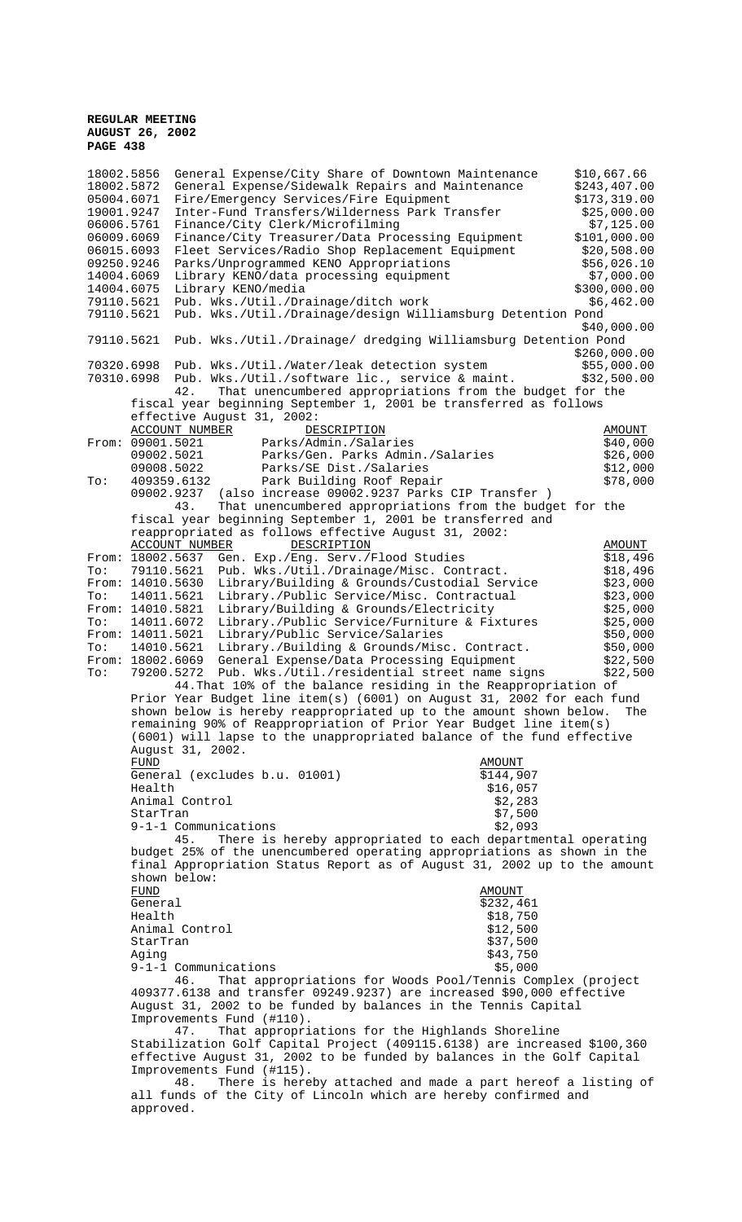18002.5856 General Expense/City Share of Downtown Maintenance \$10,667.66 18002.5872 General Expense/Sidewalk Repairs and Maintenance \$243,407.00 05004.6071 Fire/Emergency Services/Fire Equipment \$173,319.00<br>19001.9247 Inter-Fund Transfers/Wilderness Park Transfer \$25,000.00 19001.9247 Inter-Fund Transfers/Wilderness Park Transfer<br>06006.5761 Finance/City Clerk/Microfilming Finance/City Clerk/Microfilming  $$7,125.00$ 06009.6069 Finance/City Treasurer/Data Processing Equipment \$101,000.00 06015.6093 Fleet Services/Radio Shop Replacement Equipment \$20,508.00 09250.9246 Parks/Unprogrammed KENO Appropriations  $$56,026.10$ <br>14004.6069 Library KENO/data processing equipment  $$7,000.00$ 14004.6069 Library KENO/data processing equipment \$7,000.00<br>14004.6075 Library KENO/media 14004.6075 Library KENO/media<br>79110.5621 Pub. Wks./Util./Drainage/ditch work \$6,462.00 Pub. Wks./Util./Drainage/ditch work 79110.5621 Pub. Wks./Util./Drainage/design Williamsburg Detention Pond  $$40,000.00$ 79110.5621 Pub. Wks./Util./Drainage/ dredging Williamsburg Detention Pond \$260,000.00 70320.6998 Pub. Wks./Util./Water/leak detection system \$55,000.00 70310.6998 Pub. Wks./Util./software lic., service & maint. \$32,500.00 42. That unencumbered appropriations from the budget for the fiscal year beginning September 1, 2001 be transferred as follows effective August 31, 2002: ACCOUNT NUMBER DESCRIPTION DESCRIPTION ACCOUNT AMOUNT ACCOUNT DESCRIPTION AMOUNT ACCOUNT DESCRIPTION AND AMOUNT 09001.5021 Parks/Admin./Salaries \$40,000<br>09002.5021 Parks/Gen. Parks Admin./Salaries \$26,000 09002.5021 Parks/Gen. Parks Admin./Salaries \$26,000<br>09008.5022 Parks/SE Dist./Salaries \$12,000 09008.5022 Parks/SE Dist./Salaries (199008.5022 Parks/SE Dist./Salaries (199008.5022 Park Building Roof Repair To: 409359.6132 Park Building Roof Repair 09002.9237 (also increase  $09002.9237$  Parks CIP Transfer )<br>43. That unencumbered appropriations from the budg That unencumbered appropriations from the budget for the fiscal year beginning September 1, 2001 be transferred and reappropriated as follows effective August 31, 2002:<br>ACCOUNT NUMBER DESCRIPTION ACCOUNT NUMBER DESCRIPTION DESCRIPTION AMOUNT From: 18002.5637 Gen. Exp./Eng. Serv./Flood Studies  $\frac{18002.5637}{18,496}$  To: 79110.5621 Pub. Wks./Util./Drainage/Misc. Contract. \$18,496 To: 79110.5621 Pub. Wks./Util./Drainage/Misc. Contract. \$18,496<br>From: 14010.5630 Library/Building & Grounds/Custodial Service \$23.000 From: 14010.5630 Library/Building & Grounds/Custodial Service \$23,000<br>To: 14011.5621 Library./Public Service/Misc. Contractual \$23,000 To: 14011.5621 Library./Public Service/Misc. Contractual From: 14010.5821 Library/Building & Grounds/Electricity 14010.5821 Library/Building & Grounds/Electricity \$25,000<br>14011.6072 Library./Public Service/Furniture & Fixtures \$25,000 To: 14011.6072 Library./Public Service/Furniture & Fixtures \$25,000<br>From: 14011.5021 Library/Public Service/Salaries \$50,000 From: 14011.5021 Library/Public Service/Salaries (\$50,000 \$50,000 \$50,000 \$50.000 \$50.000 \$50.000 \$50.000 \$50.000 \$50.000 \$50.000 \$50.000 \$50.000 \$50.000 \$50.000 \$50.000 \$50.000 \$50.000 \$50.000 \$50.000 \$50.000 \$50.000 \$50. To: 14010.5621 Library./Building & Grounds/Misc. Contract.  $\frac{50,000}{22,500}$ <br>From: 18002.6069 General Expense/Data Processing Equipment \$22,500 From: 18002.6069 General Expense/Data Processing Equipment \$22,500<br>To: 79200.5272 Pub. Wks./Util./residential street name signs \$22.500 79200.5272 Pub. Wks./Util./residential street name signs 44.That 10% of the balance residing in the Reappropriation of Prior Year Budget line item(s) (6001) on August 31, 2002 for each fund shown below is hereby reappropriated up to the amount shown below. The remaining 90% of Reappropriation of Prior Year Budget line item(s) (6001) will lapse to the unappropriated balance of the fund effective August 31, 2002. FUND AMOUNT General (excludes b.u. 01001) \$144,907 Health \$16,057 Animal Control (\$2,283)<br>StarTran (\$7,500) StarTran  $\frac{57}{500}$ <br>9-1-1 Communications  $\frac{22}{52}$  $9-1-1$  Communications 45. There is hereby appropriated to each departmental operating budget 25% of the unencumbered operating appropriations as shown in the final Appropriation Status Report as of August 31, 2002 up to the amount shown below: FUND AMOUNT General \$232,461 \$232,461 \$232,461 \$232,461 \$232,461 \$232,461 \$18,750 \$232,461 \$18,750 \$18,750 \$18,750 \$18,750 \$18,750<br>\$12,500 Animal Control \$12,500 StarTran Aging \$43,750 9-1-1 Communications \$5,000 46. That appropriations for Woods Pool/Tennis Complex (project 409377.6138 and transfer 09249.9237) are increased \$90,000 effective August 31, 2002 to be funded by balances in the Tennis Capital Improvements Fund (#110). 47. That appropriations for the Highlands Shoreline Stabilization Golf Capital Project (409115.6138) are increased \$100,360 effective August 31, 2002 to be funded by balances in the Golf Capital Improvements Fund (#115). 48. There is hereby attached and made a part hereof a listing of all funds of the City of Lincoln which are hereby confirmed and approved.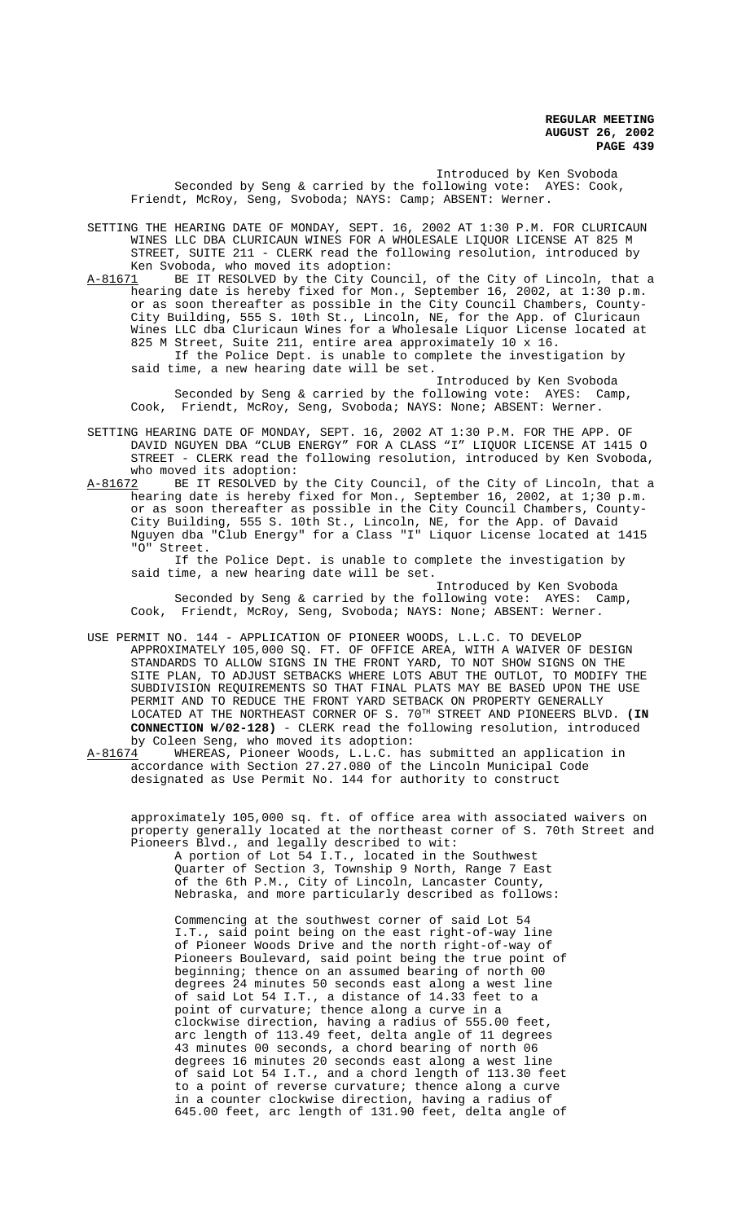Introduced by Ken Svoboda Seconded by Seng & carried by the following vote: AYES: Cook, Friendt, McRoy, Seng, Svoboda; NAYS: Camp; ABSENT: Werner.

SETTING THE HEARING DATE OF MONDAY, SEPT. 16, 2002 AT 1:30 P.M. FOR CLURICAUN WINES LLC DBA CLURICAUN WINES FOR A WHOLESALE LIQUOR LICENSE AT 825 M STREET, SUITE 211 - CLERK read the following resolution, introduced by Ken Svoboda, who moved its adoption:

A-81671 BE IT RESOLVED by the City Council, of the City of Lincoln, that a hearing date is hereby fixed for Mon., September 16, 2002, at 1:30 p.m. or as soon thereafter as possible in the City Council Chambers, County-City Building, 555 S. 10th St., Lincoln, NE, for the App. of Cluricaun Wines LLC dba Cluricaun Wines for a Wholesale Liquor License located at 825 M Street, Suite 211, entire area approximately 10 x 16. If the Police Dept. is unable to complete the investigation by

said time, a new hearing date will be set. Introduced by Ken Svoboda

Seconded by Seng & carried by the following vote: AYES: Camp, Cook, Friendt, McRoy, Seng, Svoboda; NAYS: None; ABSENT: Werner.

- SETTING HEARING DATE OF MONDAY, SEPT. 16, 2002 AT 1:30 P.M. FOR THE APP. OF DAVID NGUYEN DBA "CLUB ENERGY" FOR A CLASS "I" LIQUOR LICENSE AT 1415 O STREET - CLERK read the following resolution, introduced by Ken Svoboda, who moved its adoption:<br>A-81672 BE IT RESOLVED by
- BE IT RESOLVED by the City Council, of the City of Lincoln, that a hearing date is hereby fixed for Mon., September 16, 2002, at 1;30 p.m. or as soon thereafter as possible in the City Council Chambers, County-City Building, 555 S. 10th St., Lincoln, NE, for the App. of Davaid Nguyen dba "Club Energy" for a Class "I" Liquor License located at 1415 "O" Street.

If the Police Dept. is unable to complete the investigation by said time, a new hearing date will be set.

Introduced by Ken Svoboda Seconded by Seng & carried by the following vote: AYES: Camp, Cook, Friendt, McRoy, Seng, Svoboda; NAYS: None; ABSENT: Werner.

- USE PERMIT NO. 144 APPLICATION OF PIONEER WOODS, L.L.C. TO DEVELOP APPROXIMATELY 105,000 SQ. FT. OF OFFICE AREA, WITH A WAIVER OF DESIGN STANDARDS TO ALLOW SIGNS IN THE FRONT YARD, TO NOT SHOW SIGNS ON THE SITE PLAN, TO ADJUST SETBACKS WHERE LOTS ABUT THE OUTLOT, TO MODIFY THE SUBDIVISION REQUIREMENTS SO THAT FINAL PLATS MAY BE BASED UPON THE USE PERMIT AND TO REDUCE THE FRONT YARD SETBACK ON PROPERTY GENERALLY LOCATED AT THE NORTHEAST CORNER OF S. 70TH STREET AND PIONEERS BLVD. **(IN CONNECTION W/02-128)** - CLERK read the following resolution, introduced
- by Coleen Seng, who moved its adoption:<br>A-81674 WHEREAS, Pioneer Woods, L.L.C. has WHEREAS, Pioneer Woods, L.L.C. has submitted an application in accordance with Section 27.27.080 of the Lincoln Municipal Code designated as Use Permit No. 144 for authority to construct

approximately 105,000 sq. ft. of office area with associated waivers on property generally located at the northeast corner of S. 70th Street and Pioneers Blvd., and legally described to wit:

A portion of Lot 54 I.T., located in the Southwest Quarter of Section 3, Township 9 North, Range 7 East of the 6th P.M., City of Lincoln, Lancaster County, Nebraska, and more particularly described as follows:

Commencing at the southwest corner of said Lot 54 I.T., said point being on the east right-of-way line of Pioneer Woods Drive and the north right-of-way of Pioneers Boulevard, said point being the true point of beginning; thence on an assumed bearing of north 00 degrees 24 minutes 50 seconds east along a west line of said Lot 54 I.T., a distance of 14.33 feet to a point of curvature; thence along a curve in a clockwise direction, having a radius of 555.00 feet, arc length of 113.49 feet, delta angle of 11 degrees 43 minutes 00 seconds, a chord bearing of north 06 degrees 16 minutes 20 seconds east along a west line of said Lot 54 I.T., and a chord length of 113.30 feet to a point of reverse curvature; thence along a curve in a counter clockwise direction, having a radius of 645.00 feet, arc length of 131.90 feet, delta angle of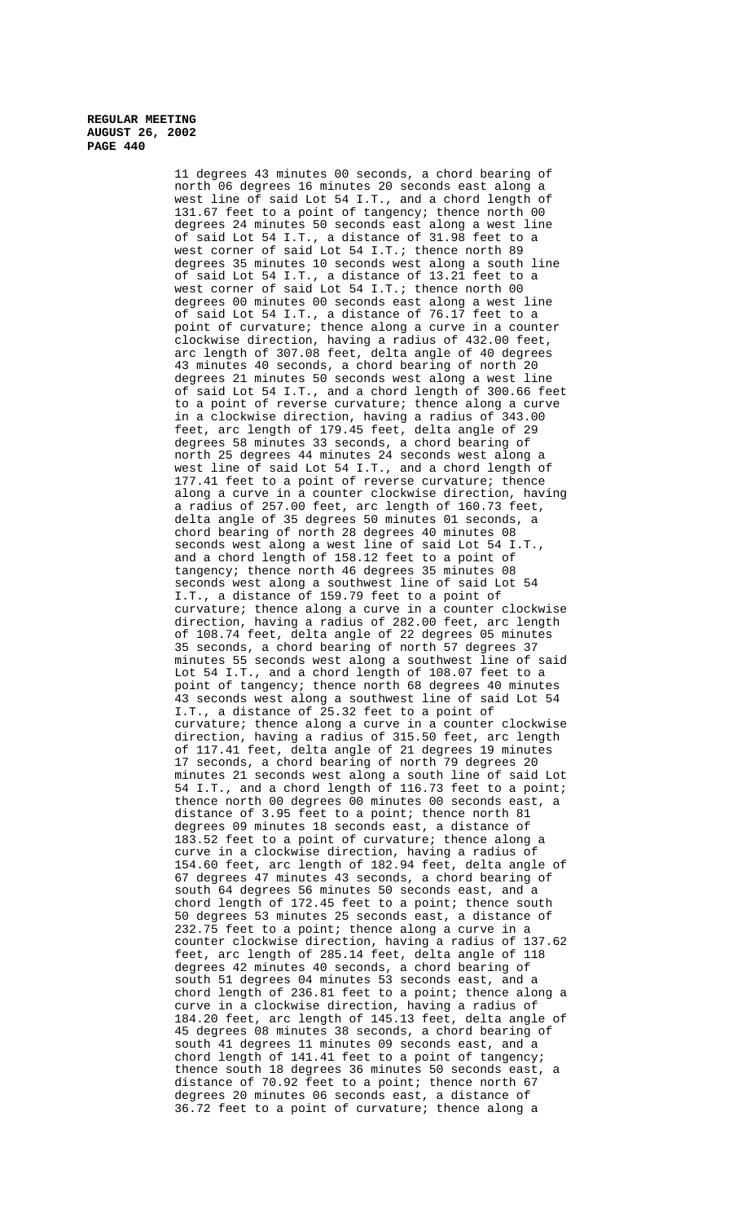> 11 degrees 43 minutes 00 seconds, a chord bearing of north 06 degrees 16 minutes 20 seconds east along a west line of said Lot 54 I.T., and a chord length of 131.67 feet to a point of tangency; thence north 00 degrees 24 minutes 50 seconds east along a west line of said Lot 54 I.T., a distance of 31.98 feet to a west corner of said Lot 54 I.T.; thence north 89 degrees 35 minutes 10 seconds west along a south line of said Lot 54 I.T., a distance of 13.21 feet to a west corner of said Lot 54 I.T.; thence north 00 degrees 00 minutes 00 seconds east along a west line of said Lot 54 I.T., a distance of 76.17 feet to a point of curvature; thence along a curve in a counter clockwise direction, having a radius of 432.00 feet, arc length of 307.08 feet, delta angle of 40 degrees 43 minutes 40 seconds, a chord bearing of north 20 degrees 21 minutes 50 seconds west along a west line of said Lot 54 I.T., and a chord length of 300.66 feet to a point of reverse curvature; thence along a curve in a clockwise direction, having a radius of 343.00 feet, arc length of 179.45 feet, delta angle of 29 degrees 58 minutes 33 seconds, a chord bearing of north 25 degrees 44 minutes 24 seconds west along a west line of said Lot 54 I.T., and a chord length of 177.41 feet to a point of reverse curvature; thence along a curve in a counter clockwise direction, having a radius of 257.00 feet, arc length of 160.73 feet, delta angle of 35 degrees 50 minutes 01 seconds, a chord bearing of north 28 degrees 40 minutes 08 seconds west along a west line of said Lot 54 I.T., and a chord length of 158.12 feet to a point of tangency; thence north 46 degrees 35 minutes 08 seconds west along a southwest line of said Lot 54 I.T., a distance of 159.79 feet to a point of curvature; thence along a curve in a counter clockwise direction, having a radius of 282.00 feet, arc length of 108.74 feet, delta angle of 22 degrees 05 minutes 35 seconds, a chord bearing of north 57 degrees 37 minutes 55 seconds west along a southwest line of said Lot 54 I.T., and a chord length of 108.07 feet to a point of tangency; thence north 68 degrees 40 minutes 43 seconds west along a southwest line of said Lot 54 I.T., a distance of 25.32 feet to a point of curvature; thence along a curve in a counter clockwise direction, having a radius of 315.50 feet, arc length of 117.41 feet, delta angle of 21 degrees 19 minutes 17 seconds, a chord bearing of north 79 degrees 20 minutes 21 seconds west along a south line of said Lot 54 I.T., and a chord length of 116.73 feet to a point; thence north 00 degrees 00 minutes 00 seconds east, a distance of 3.95 feet to a point; thence north 81 degrees 09 minutes 18 seconds east, a distance of 183.52 feet to a point of curvature; thence along a curve in a clockwise direction, having a radius of 154.60 feet, arc length of 182.94 feet, delta angle of 67 degrees 47 minutes 43 seconds, a chord bearing of south 64 degrees 56 minutes 50 seconds east, and a chord length of 172.45 feet to a point; thence south 50 degrees 53 minutes 25 seconds east, a distance of 232.75 feet to a point; thence along a curve in a counter clockwise direction, having a radius of 137.62 feet, arc length of 285.14 feet, delta angle of 118 degrees 42 minutes 40 seconds, a chord bearing of south 51 degrees 04 minutes 53 seconds east, and a chord length of 236.81 feet to a point; thence along a curve in a clockwise direction, having a radius of 184.20 feet, arc length of 145.13 feet, delta angle of 45 degrees 08 minutes 38 seconds, a chord bearing of south 41 degrees 11 minutes 09 seconds east, and a chord length of 141.41 feet to a point of tangency; thence south 18 degrees 36 minutes 50 seconds east, a distance of 70.92 feet to a point; thence north 67 degrees 20 minutes 06 seconds east, a distance of 36.72 feet to a point of curvature; thence along a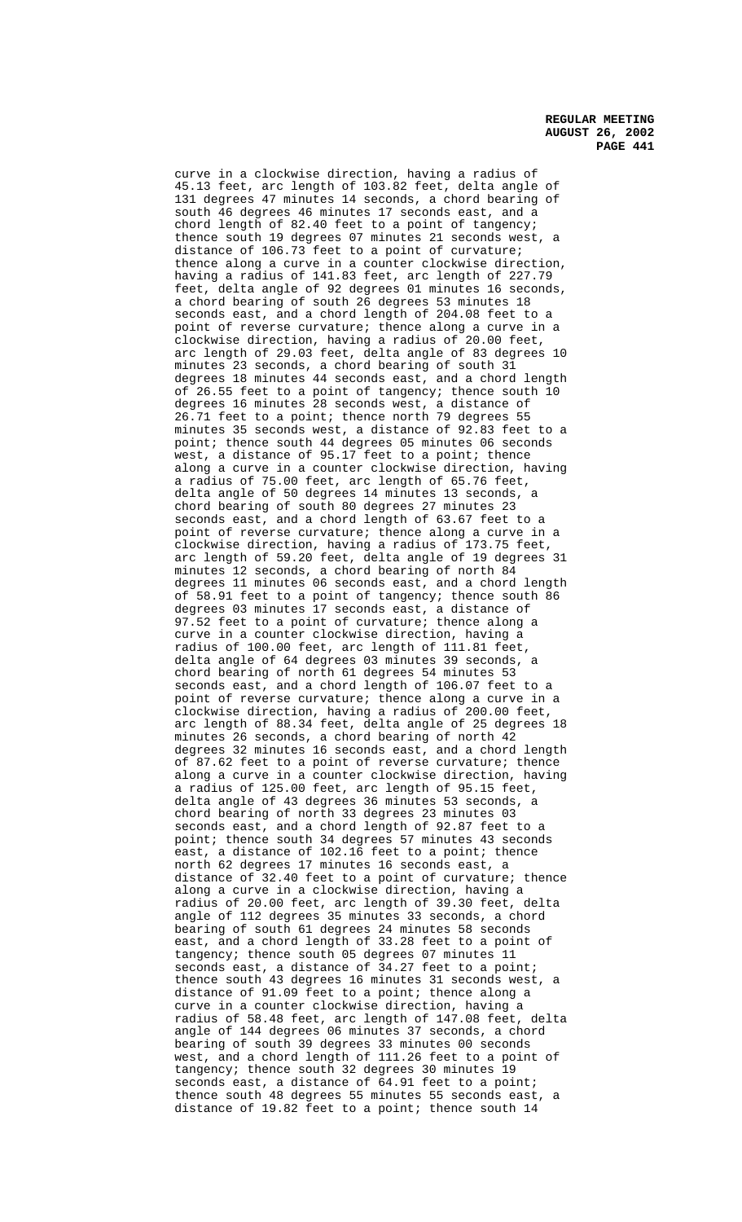curve in a clockwise direction, having a radius of 45.13 feet, arc length of 103.82 feet, delta angle of 131 degrees 47 minutes 14 seconds, a chord bearing of south 46 degrees 46 minutes 17 seconds east, and a chord length of 82.40 feet to a point of tangency; thence south 19 degrees 07 minutes 21 seconds west, a distance of 106.73 feet to a point of curvature; thence along a curve in a counter clockwise direction, having a radius of 141.83 feet, arc length of 227.79 feet, delta angle of 92 degrees 01 minutes 16 seconds, a chord bearing of south 26 degrees 53 minutes 18 seconds east, and a chord length of 204.08 feet to a point of reverse curvature; thence along a curve in a clockwise direction, having a radius of 20.00 feet, arc length of 29.03 feet, delta angle of 83 degrees 10 minutes 23 seconds, a chord bearing of south 31 degrees 18 minutes 44 seconds east, and a chord length of 26.55 feet to a point of tangency; thence south 10 degrees 16 minutes 28 seconds west, a distance of 26.71 feet to a point; thence north 79 degrees 55 minutes 35 seconds west, a distance of 92.83 feet to a point; thence south 44 degrees 05 minutes 06 seconds west, a distance of 95.17 feet to a point; thence along a curve in a counter clockwise direction, having a radius of 75.00 feet, arc length of 65.76 feet, delta angle of 50 degrees 14 minutes 13 seconds, a chord bearing of south 80 degrees 27 minutes 23 seconds east, and a chord length of 63.67 feet to a point of reverse curvature; thence along a curve in a clockwise direction, having a radius of 173.75 feet, arc length of 59.20 feet, delta angle of 19 degrees 31 minutes 12 seconds, a chord bearing of north 84 degrees 11 minutes 06 seconds east, and a chord length of 58.91 feet to a point of tangency; thence south 86 degrees 03 minutes 17 seconds east, a distance of 97.52 feet to a point of curvature; thence along a curve in a counter clockwise direction, having a radius of 100.00 feet, arc length of 111.81 feet, delta angle of 64 degrees 03 minutes 39 seconds, a chord bearing of north 61 degrees 54 minutes 53 seconds east, and a chord length of 106.07 feet to a point of reverse curvature; thence along a curve in a clockwise direction, having a radius of 200.00 feet, arc length of 88.34 feet, delta angle of 25 degrees 18 minutes 26 seconds, a chord bearing of north 42 degrees 32 minutes 16 seconds east, and a chord length of 87.62 feet to a point of reverse curvature; thence along a curve in a counter clockwise direction, having a radius of 125.00 feet, arc length of 95.15 feet, delta angle of 43 degrees 36 minutes 53 seconds, a chord bearing of north 33 degrees 23 minutes 03 seconds east, and a chord length of 92.87 feet to a point; thence south 34 degrees 57 minutes 43 seconds east, a distance of 102.16 feet to a point; thence north 62 degrees 17 minutes 16 seconds east, a distance of 32.40 feet to a point of curvature; thence along a curve in a clockwise direction, having a radius of 20.00 feet, arc length of 39.30 feet, delta angle of 112 degrees 35 minutes 33 seconds, a chord bearing of south 61 degrees 24 minutes 58 seconds east, and a chord length of 33.28 feet to a point of tangency; thence south 05 degrees 07 minutes 11 seconds east, a distance of 34.27 feet to a point; thence south 43 degrees 16 minutes 31 seconds west, a distance of 91.09 feet to a point; thence along a curve in a counter clockwise direction, having a radius of 58.48 feet, arc length of 147.08 feet, delta angle of 144 degrees 06 minutes 37 seconds, a chord bearing of south 39 degrees 33 minutes 00 seconds west, and a chord length of 111.26 feet to a point of tangency; thence south 32 degrees 30 minutes 19 seconds east, a distance of 64.91 feet to a point; thence south 48 degrees 55 minutes 55 seconds east, a distance of 19.82 feet to a point; thence south 14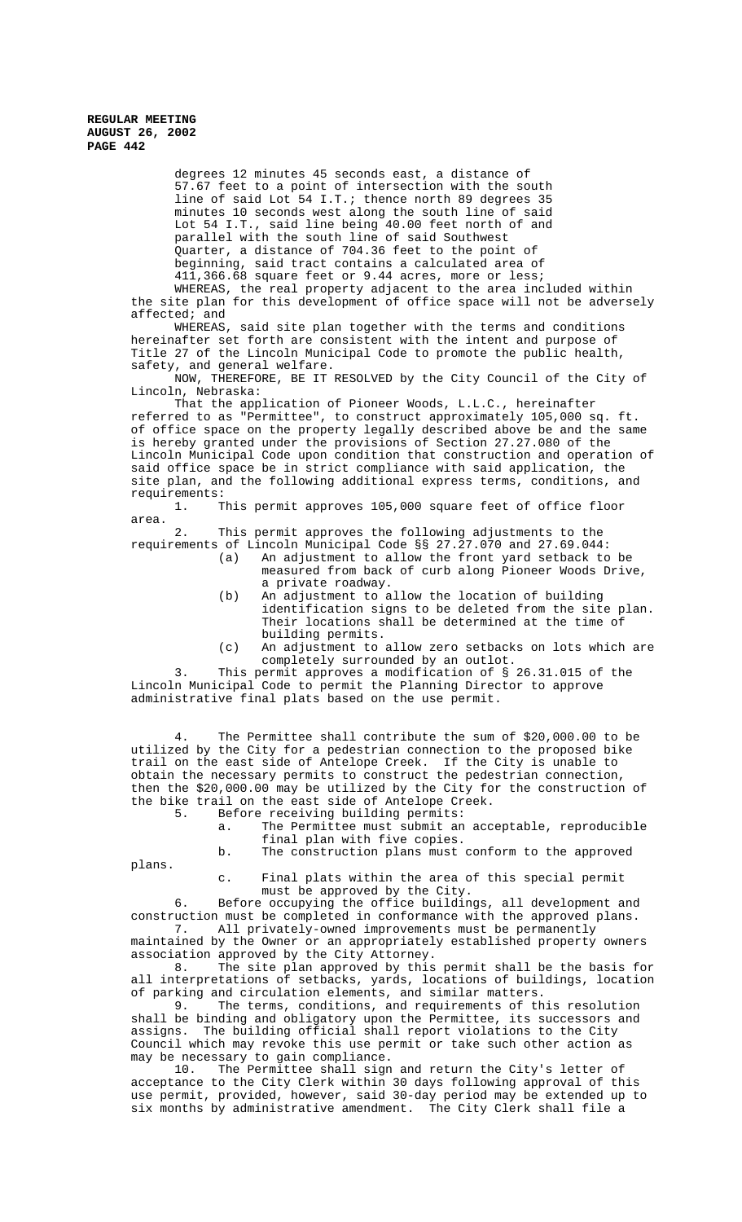> degrees 12 minutes 45 seconds east, a distance of 57.67 feet to a point of intersection with the south line of said Lot 54 I.T.; thence north 89 degrees 35 minutes 10 seconds west along the south line of said Lot 54 I.T., said line being 40.00 feet north of and parallel with the south line of said Southwest Quarter, a distance of 704.36 feet to the point of beginning, said tract contains a calculated area of 411,366.68 square feet or 9.44 acres, more or less; WHEREAS, the real property adjacent to the area included within the site plan for this development of office space will not be adversely

affected; and

WHEREAS, said site plan together with the terms and conditions hereinafter set forth are consistent with the intent and purpose of Title 27 of the Lincoln Municipal Code to promote the public health, safety, and general welfare.

NOW, THEREFORE, BE IT RESOLVED by the City Council of the City of Lincoln, Nebraska:

That the application of Pioneer Woods, L.L.C., hereinafter referred to as "Permittee", to construct approximately 105,000 sq. ft. of office space on the property legally described above be and the same is hereby granted under the provisions of Section 27.27.080 of the Lincoln Municipal Code upon condition that construction and operation of said office space be in strict compliance with said application, the site plan, and the following additional express terms, conditions, and requirements:

1. This permit approves 105,000 square feet of office floor area.

2. This permit approves the following adjustments to the requirements of Lincoln Municipal Code §§ 27.27.070 and 27.69.044:

- (a) An adjustment to allow the front yard setback to be measured from back of curb along Pioneer Woods Drive, a private roadway.
- (b) An adjustment to allow the location of building identification signs to be deleted from the site plan. Their locations shall be determined at the time of building permits.
- (c) An adjustment to allow zero setbacks on lots which are completely surrounded by an outlot.

3. This permit approves a modification of § 26.31.015 of the Lincoln Municipal Code to permit the Planning Director to approve administrative final plats based on the use permit.

4. The Permittee shall contribute the sum of \$20,000.00 to be utilized by the City for a pedestrian connection to the proposed bike trail on the east side of Antelope Creek. If the City is unable to obtain the necessary permits to construct the pedestrian connection, then the \$20,000.00 may be utilized by the City for the construction of the bike trail on the east side of Antelope Creek.

5. Before receiving building permits:

a. The Permittee must submit an acceptable, reproducible final plan with five copies.

b. The construction plans must conform to the approved

plans.

c. Final plats within the area of this special permit must be approved by the City.

6. Before occupying the office buildings, all development and construction must be completed in conformance with the approved plans. 7. All privately-owned improvements must be permanently

maintained by the Owner or an appropriately established property owners association approved by the City Attorney.

8. The site plan approved by this permit shall be the basis for all interpretations of setbacks, yards, locations of buildings, location of parking and circulation elements, and similar matters.<br>9. The terms, conditions, and requirements of the

The terms, conditions, and requirements of this resolution shall be binding and obligatory upon the Permittee, its successors and assigns. The building official shall report violations to the City Council which may revoke this use permit or take such other action as may be necessary to gain compliance.<br>10. The Permittee shall sign

The Permittee shall sign and return the City's letter of acceptance to the City Clerk within 30 days following approval of this use permit, provided, however, said 30-day period may be extended up to six months by administrative amendment. The City Clerk shall file a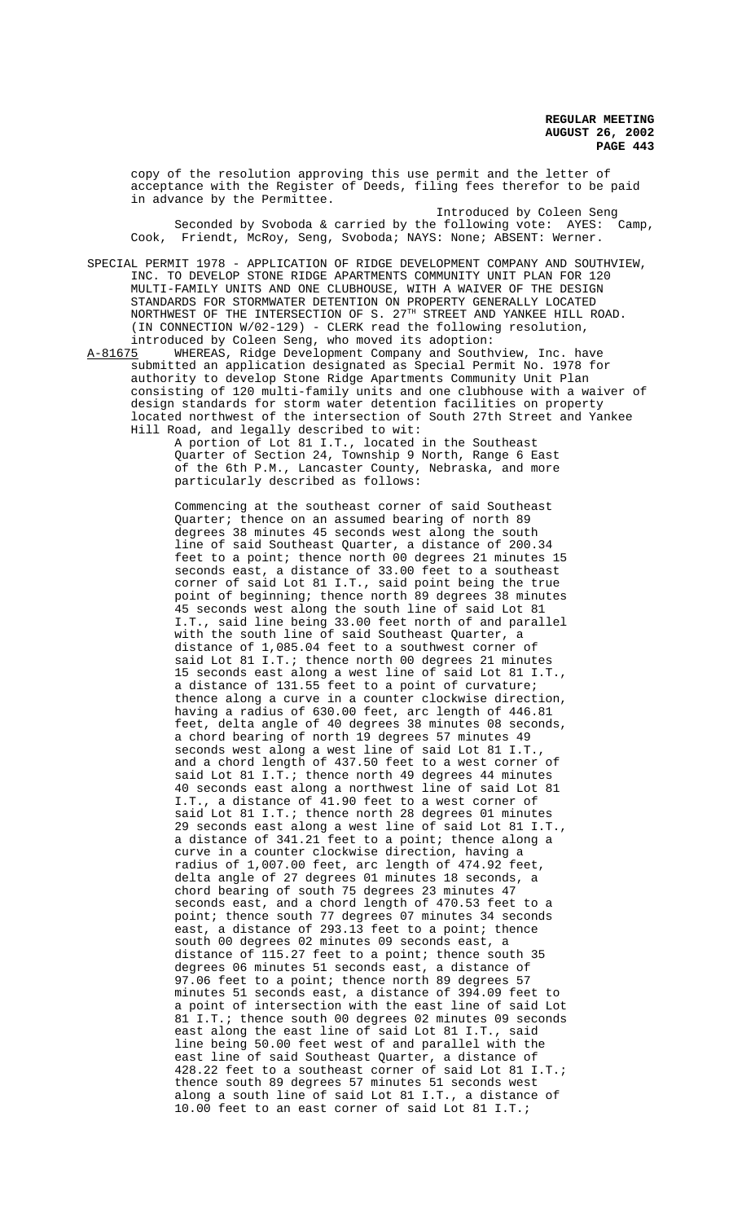copy of the resolution approving this use permit and the letter of acceptance with the Register of Deeds, filing fees therefor to be paid in advance by the Permittee.

Introduced by Coleen Seng Seconded by Svoboda & carried by the following vote: AYES: Camp, Cook, Friendt, McRoy, Seng, Svoboda; NAYS: None; ABSENT: Werner.

SPECIAL PERMIT 1978 - APPLICATION OF RIDGE DEVELOPMENT COMPANY AND SOUTHVIEW, INC. TO DEVELOP STONE RIDGE APARTMENTS COMMUNITY UNIT PLAN FOR 120 MULTI-FAMILY UNITS AND ONE CLUBHOUSE, WITH A WAIVER OF THE DESIGN STANDARDS FOR STORMWATER DETENTION ON PROPERTY GENERALLY LOCATED NORTHWEST OF THE INTERSECTION OF S. 27<sup>TH</sup> STREET AND YANKEE HILL ROAD. (IN CONNECTION W/02-129) - CLERK read the following resolution,

introduced by Coleen Seng, who moved its adoption:<br>A-81675 WHEREAS, Ridge Development Company and South WHEREAS, Ridge Development Company and Southview, Inc. have submitted an application designated as Special Permit No. 1978 for authority to develop Stone Ridge Apartments Community Unit Plan consisting of 120 multi-family units and one clubhouse with a waiver of design standards for storm water detention facilities on property located northwest of the intersection of South 27th Street and Yankee Hill Road, and legally described to wit:

A portion of Lot 81 I.T., located in the Southeast Quarter of Section 24, Township 9 North, Range 6 East of the 6th P.M., Lancaster County, Nebraska, and more particularly described as follows:

Commencing at the southeast corner of said Southeast Quarter; thence on an assumed bearing of north 89 degrees 38 minutes 45 seconds west along the south line of said Southeast Quarter, a distance of 200.34 feet to a point; thence north 00 degrees 21 minutes 15 seconds east, a distance of 33.00 feet to a southeast corner of said Lot 81 I.T., said point being the true point of beginning; thence north 89 degrees 38 minutes 45 seconds west along the south line of said Lot 81 I.T., said line being 33.00 feet north of and parallel with the south line of said Southeast Quarter, a distance of 1,085.04 feet to a southwest corner of said Lot 81 I.T.; thence north 00 degrees 21 minutes 15 seconds east along a west line of said Lot 81 I.T., a distance of 131.55 feet to a point of curvature; thence along a curve in a counter clockwise direction, having a radius of 630.00 feet, arc length of 446.81 feet, delta angle of 40 degrees 38 minutes 08 seconds, a chord bearing of north 19 degrees 57 minutes 49 seconds west along a west line of said Lot 81 I.T., and a chord length of 437.50 feet to a west corner of said Lot 81 I.T.; thence north 49 degrees 44 minutes 40 seconds east along a northwest line of said Lot 81 I.T., a distance of 41.90 feet to a west corner of said Lot 81 I.T.; thence north 28 degrees 01 minutes 29 seconds east along a west line of said Lot 81 I.T., a distance of 341.21 feet to a point; thence along a curve in a counter clockwise direction, having a radius of 1,007.00 feet, arc length of 474.92 feet, delta angle of 27 degrees 01 minutes 18 seconds, a chord bearing of south 75 degrees 23 minutes 47 seconds east, and a chord length of 470.53 feet to a point; thence south 77 degrees 07 minutes 34 seconds east, a distance of 293.13 feet to a point; thence south 00 degrees 02 minutes 09 seconds east, a distance of 115.27 feet to a point; thence south 35 degrees 06 minutes 51 seconds east, a distance of 97.06 feet to a point; thence north 89 degrees 57 minutes 51 seconds east, a distance of 394.09 feet to a point of intersection with the east line of said Lot 81 I.T.; thence south 00 degrees 02 minutes 09 seconds east along the east line of said Lot 81 I.T., said line being 50.00 feet west of and parallel with the east line of said Southeast Quarter, a distance of 428.22 feet to a southeast corner of said Lot 81 I.T.; thence south 89 degrees 57 minutes 51 seconds west along a south line of said Lot 81 I.T., a distance of 10.00 feet to an east corner of said Lot 81 I.T.;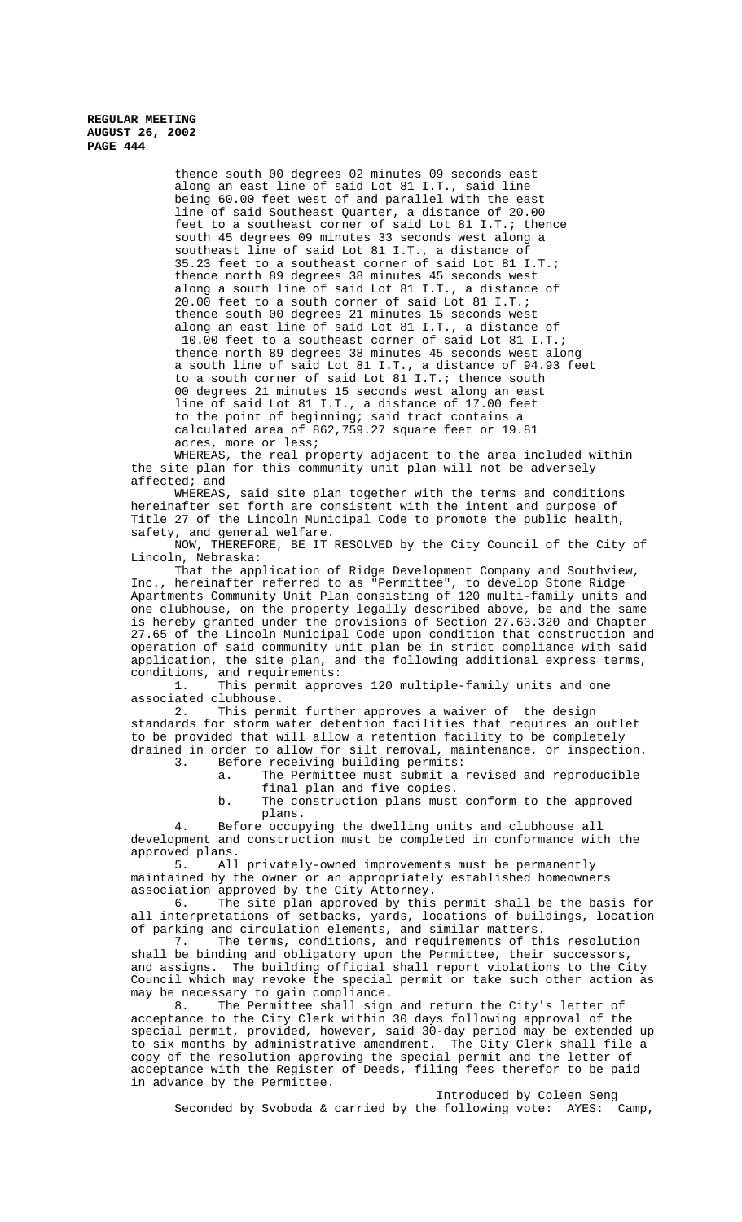> thence south 00 degrees 02 minutes 09 seconds east along an east line of said Lot 81 I.T., said line being 60.00 feet west of and parallel with the east line of said Southeast Quarter, a distance of 20.00 feet to a southeast corner of said Lot 81 I.T.; thence south 45 degrees 09 minutes 33 seconds west along a southeast line of said Lot 81 I.T., a distance of 35.23 feet to a southeast corner of said Lot 81 I.T.; thence north 89 degrees 38 minutes 45 seconds west along a south line of said Lot 81 I.T., a distance of 20.00 feet to a south corner of said Lot 81 I.T.; thence south 00 degrees 21 minutes 15 seconds west along an east line of said Lot 81 I.T., a distance of 10.00 feet to a southeast corner of said Lot 81 I.T.; thence north 89 degrees 38 minutes 45 seconds west along a south line of said Lot 81 I.T., a distance of 94.93 feet to a south corner of said Lot 81 I.T.; thence south 00 degrees 21 minutes 15 seconds west along an east line of said Lot 81 I.T., a distance of 17.00 feet to the point of beginning; said tract contains a calculated area of 862,759.27 square feet or 19.81 acres, more or less;

WHEREAS, the real property adjacent to the area included within the site plan for this community unit plan will not be adversely affected; and

WHEREAS, said site plan together with the terms and conditions hereinafter set forth are consistent with the intent and purpose of Title 27 of the Lincoln Municipal Code to promote the public health, safety, and general welfare.

NOW, THEREFORE, BE IT RESOLVED by the City Council of the City of Lincoln, Nebraska:

That the application of Ridge Development Company and Southview, Inc., hereinafter referred to as "Permittee", to develop Stone Ridge Apartments Community Unit Plan consisting of 120 multi-family units and one clubhouse, on the property legally described above, be and the same is hereby granted under the provisions of Section 27.63.320 and Chapter 27.65 of the Lincoln Municipal Code upon condition that construction and operation of said community unit plan be in strict compliance with said application, the site plan, and the following additional express terms, conditions, and requirements:

1. This permit approves 120 multiple-family units and one associated clubhouse.

2. This permit further approves a waiver of the design standards for storm water detention facilities that requires an outlet to be provided that will allow a retention facility to be completely drained in order to allow for silt removal, maintenance, or inspection. 3. Before receiving building permits:

a. The Permittee must submit a revised and reproducible

final plan and five copies. b. The construction plans must conform to the approved plans.

4. Before occupying the dwelling units and clubhouse all development and construction must be completed in conformance with the approved plans.

5. All privately-owned improvements must be permanently maintained by the owner or an appropriately established homeowners association approved by the City Attorney.

6. The site plan approved by this permit shall be the basis for all interpretations of setbacks, yards, locations of buildings, location of parking and circulation elements, and similar matters.<br>7. The terms, conditions, and requirements of th

The terms, conditions, and requirements of this resolution shall be binding and obligatory upon the Permittee, their successors, and assigns. The building official shall report violations to the City Council which may revoke the special permit or take such other action as may be necessary to gain compliance.<br>8. The Permittee shall sign

The Permittee shall sign and return the City's letter of acceptance to the City Clerk within 30 days following approval of the special permit, provided, however, said 30-day period may be extended up to six months by administrative amendment. The City Clerk shall file a copy of the resolution approving the special permit and the letter of acceptance with the Register of Deeds, filing fees therefor to be paid in advance by the Permittee.

Introduced by Coleen Seng Seconded by Svoboda & carried by the following vote: AYES: Camp,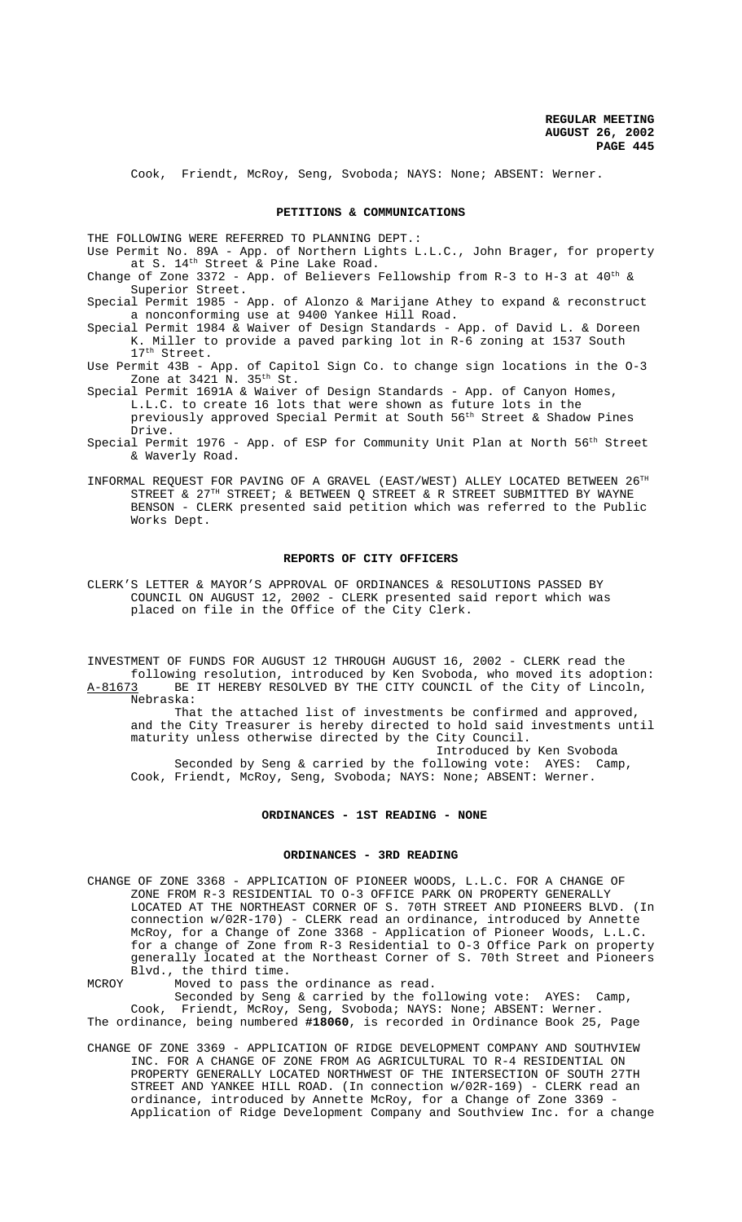Cook, Friendt, McRoy, Seng, Svoboda; NAYS: None; ABSENT: Werner.

### **PETITIONS & COMMUNICATIONS**

THE FOLLOWING WERE REFERRED TO PLANNING DEPT.:

Use Permit No. 89A - App. of Northern Lights L.L.C., John Brager, for property at S. 14th Street & Pine Lake Road.

Change of Zone 3372 - App. of Believers Fellowship from R-3 to H-3 at  $40^{th}$  & Superior Street.

Special Permit 1985 - App. of Alonzo & Marijane Athey to expand & reconstruct a nonconforming use at 9400 Yankee Hill Road.

- Special Permit 1984 & Waiver of Design Standards App. of David L. & Doreen K. Miller to provide a paved parking lot in R-6 zoning at 1537 South 17<sup>th</sup> Street.
- Use Permit 43B App. of Capitol Sign Co. to change sign locations in the O-3 Zone at  $3421 \text{ N}$ .  $35^{\text{th}}$  St.
- Special Permit 1691A & Waiver of Design Standards App. of Canyon Homes, L.L.C. to create 16 lots that were shown as future lots in the previously approved Special Permit at South 56<sup>th</sup> Street & Shadow Pines Drive.
- Special Permit 1976 App. of ESP for Community Unit Plan at North 56th Street & Waverly Road.
- INFORMAL REQUEST FOR PAVING OF A GRAVEL (EAST/WEST) ALLEY LOCATED BETWEEN 26TH STREET & 27<sup>TH</sup> STREET; & BETWEEN Q STREET & R STREET SUBMITTED BY WAYNE BENSON - CLERK presented said petition which was referred to the Public Works Dept.

# **REPORTS OF CITY OFFICERS**

CLERK'S LETTER & MAYOR'S APPROVAL OF ORDINANCES & RESOLUTIONS PASSED BY COUNCIL ON AUGUST 12, 2002 - CLERK presented said report which was placed on file in the Office of the City Clerk.

INVESTMENT OF FUNDS FOR AUGUST 12 THROUGH AUGUST 16, 2002 - CLERK read the following resolution, introduced by Ken Svoboda, who moved its adoption: A-81673 BE IT HEREBY RESOLVED BY THE CITY COUNCIL of the City of Lincoln,

Nebraska: That the attached list of investments be confirmed and approved, and the City Treasurer is hereby directed to hold said investments until maturity unless otherwise directed by the City Council.

Introduced by Ken Svoboda Seconded by Seng & carried by the following vote: AYES: Camp, Cook, Friendt, McRoy, Seng, Svoboda; NAYS: None; ABSENT: Werner.

# **ORDINANCES - 1ST READING - NONE**

#### **ORDINANCES - 3RD READING**

CHANGE OF ZONE 3368 - APPLICATION OF PIONEER WOODS, L.L.C. FOR A CHANGE OF ZONE FROM R-3 RESIDENTIAL TO O-3 OFFICE PARK ON PROPERTY GENERALLY LOCATED AT THE NORTHEAST CORNER OF S. 70TH STREET AND PIONEERS BLVD. (In connection w/02R-170) - CLERK read an ordinance, introduced by Annette McRoy, for a Change of Zone 3368 - Application of Pioneer Woods, L.L.C. for a change of Zone from R-3 Residential to O-3 Office Park on property generally located at the Northeast Corner of S. 70th Street and Pioneers Blvd., the third time.

MCROY Moved to pass the ordinance as read. Seconded by Seng & carried by the following vote: AYES: Camp, Cook, Friendt, McRoy, Seng, Svoboda; NAYS: None; ABSENT: Werner.

The ordinance, being numbered **#18060**, is recorded in Ordinance Book 25, Page

CHANGE OF ZONE 3369 - APPLICATION OF RIDGE DEVELOPMENT COMPANY AND SOUTHVIEW INC. FOR A CHANGE OF ZONE FROM AG AGRICULTURAL TO R-4 RESIDENTIAL ON PROPERTY GENERALLY LOCATED NORTHWEST OF THE INTERSECTION OF SOUTH 27TH STREET AND YANKEE HILL ROAD. (In connection w/02R-169) - CLERK read an ordinance, introduced by Annette McRoy, for a Change of Zone 3369 Application of Ridge Development Company and Southview Inc. for a change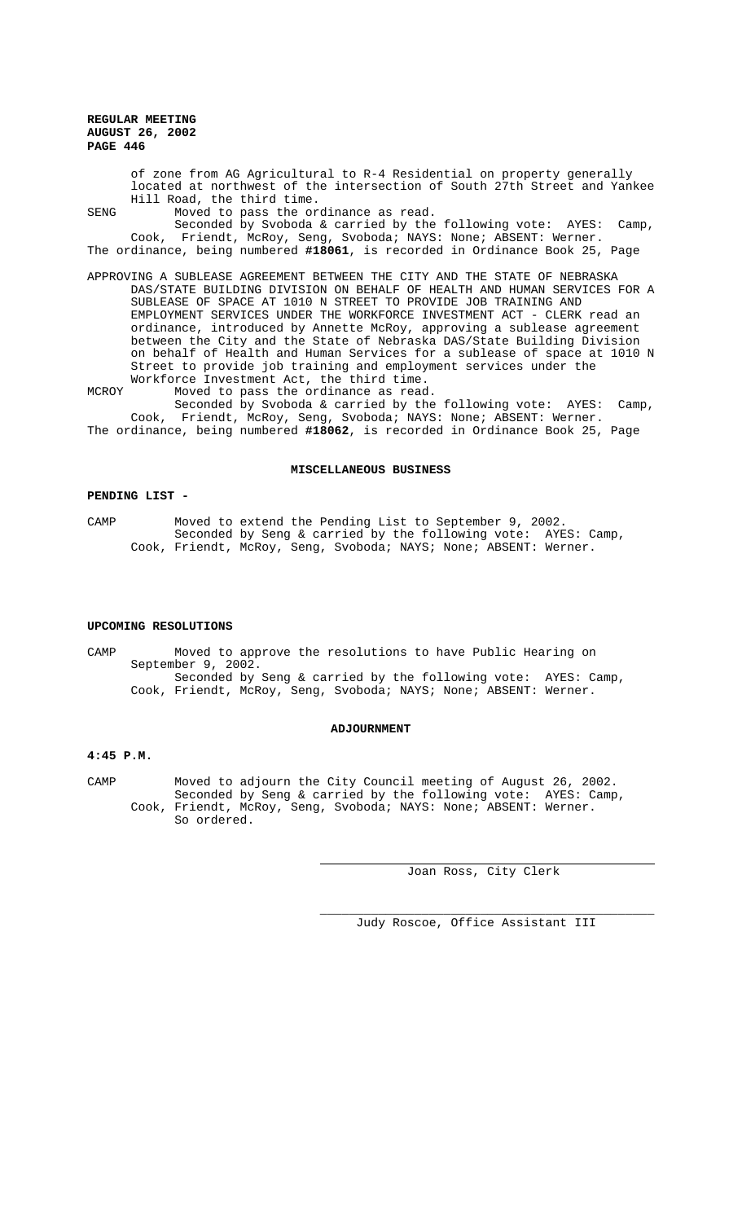of zone from AG Agricultural to R-4 Residential on property generally located at northwest of the intersection of South 27th Street and Yankee Hill Road, the third time.

SENG Moved to pass the ordinance as read.

Seconded by Svoboda & carried by the following vote: AYES: Camp, Cook, Friendt, McRoy, Seng, Svoboda; NAYS: None; ABSENT: Werner. The ordinance, being numbered **#18061**, is recorded in Ordinance Book 25, Page

APPROVING A SUBLEASE AGREEMENT BETWEEN THE CITY AND THE STATE OF NEBRASKA DAS/STATE BUILDING DIVISION ON BEHALF OF HEALTH AND HUMAN SERVICES FOR A SUBLEASE OF SPACE AT 1010 N STREET TO PROVIDE JOB TRAINING AND EMPLOYMENT SERVICES UNDER THE WORKFORCE INVESTMENT ACT - CLERK read an ordinance, introduced by Annette McRoy, approving a sublease agreement between the City and the State of Nebraska DAS/State Building Division on behalf of Health and Human Services for a sublease of space at 1010 N Street to provide job training and employment services under the Workforce Investment Act, the third time.

MCROY Moved to pass the ordinance as read. Seconded by Svoboda & carried by the following vote: AYES: Camp, Cook, Friendt, McRoy, Seng, Svoboda; NAYS: None; ABSENT: Werner. The ordinance, being numbered **#18062**, is recorded in Ordinance Book 25, Page

# **MISCELLANEOUS BUSINESS**

## **PENDING LIST -**

CAMP Moved to extend the Pending List to September 9, 2002. Seconded by Seng & carried by the following vote: AYES: Camp, Cook, Friendt, McRoy, Seng, Svoboda; NAYS; None; ABSENT: Werner.

#### **UPCOMING RESOLUTIONS**

CAMP Moved to approve the resolutions to have Public Hearing on September 9, 2002. Seconded by Seng & carried by the following vote: AYES: Camp, Cook, Friendt, McRoy, Seng, Svoboda; NAYS; None; ABSENT: Werner.

#### **ADJOURNMENT**

### **4:45 P.M.**

CAMP Moved to adjourn the City Council meeting of August 26, 2002. Seconded by Seng & carried by the following vote: AYES: Camp, Cook, Friendt, McRoy, Seng, Svoboda; NAYS: None; ABSENT: Werner. So ordered.

 $\overline{a}$ 

Joan Ross, City Clerk

\_\_\_\_\_\_\_\_\_\_\_\_\_\_\_\_\_\_\_\_\_\_\_\_\_\_\_\_\_\_\_\_\_\_\_\_\_\_\_\_\_\_\_\_\_\_

Judy Roscoe, Office Assistant III